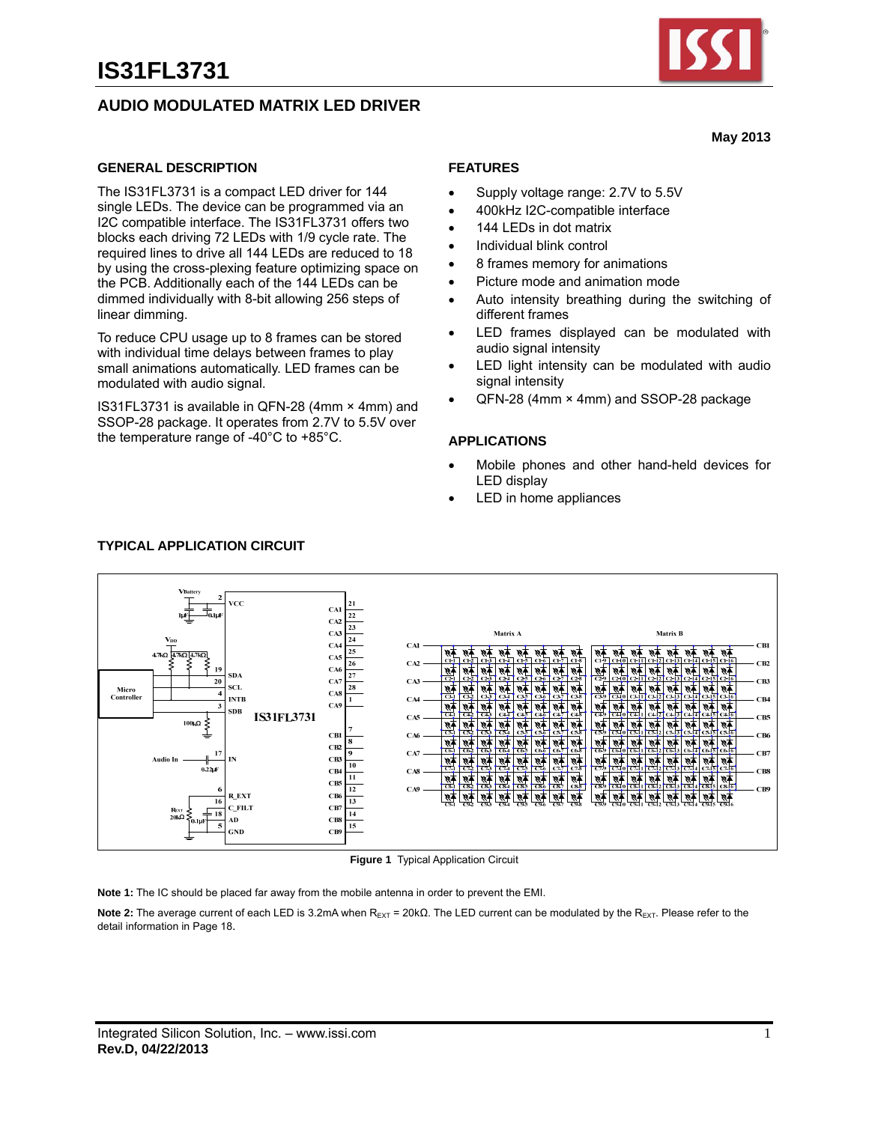# **AUDIO MODULATED MATRIX LED DRIVER**



**May 2013** 

#### **GENERAL DESCRIPTION**

The IS31FL3731 is a compact LED driver for 144 single LEDs. The device can be programmed via an I2C compatible interface. The IS31FL3731 offers two blocks each driving 72 LEDs with 1/9 cycle rate. The required lines to drive all 144 LEDs are reduced to 18 by using the cross-plexing feature optimizing space on the PCB. Additionally each of the 144 LEDs can be dimmed individually with 8-bit allowing 256 steps of linear dimming.

To reduce CPU usage up to 8 frames can be stored with individual time delays between frames to play small animations automatically. LED frames can be modulated with audio signal.

IS31FL3731 is available in QFN-28 (4mm × 4mm) and SSOP-28 package. It operates from 2.7V to 5.5V over the temperature range of -40°C to +85°C.

### **FEATURES**

- Supply voltage range: 2.7V to 5.5V
- 400kHz I2C-compatible interface
- 144 LEDs in dot matrix
- Individual blink control
- 8 frames memory for animations
- Picture mode and animation mode
- Auto intensity breathing during the switching of different frames
- LED frames displayed can be modulated with audio signal intensity
- LED light intensity can be modulated with audio signal intensity
- QFN-28 (4mm × 4mm) and SSOP-28 package

#### **APPLICATIONS**

- Mobile phones and other hand-held devices for LED display
- LED in home appliances



#### **Figure 1** Typical Application Circuit

**Note 1:** The IC should be placed far away from the mobile antenna in order to prevent the EMI.

Note 2: The average current of each LED is 3.2mA when R<sub>EXT</sub> = 20kΩ. The LED current can be modulated by the R<sub>EXT</sub>. Please refer to the detail information in Page 18.

#### **TYPICAL APPLICATION CIRCUIT**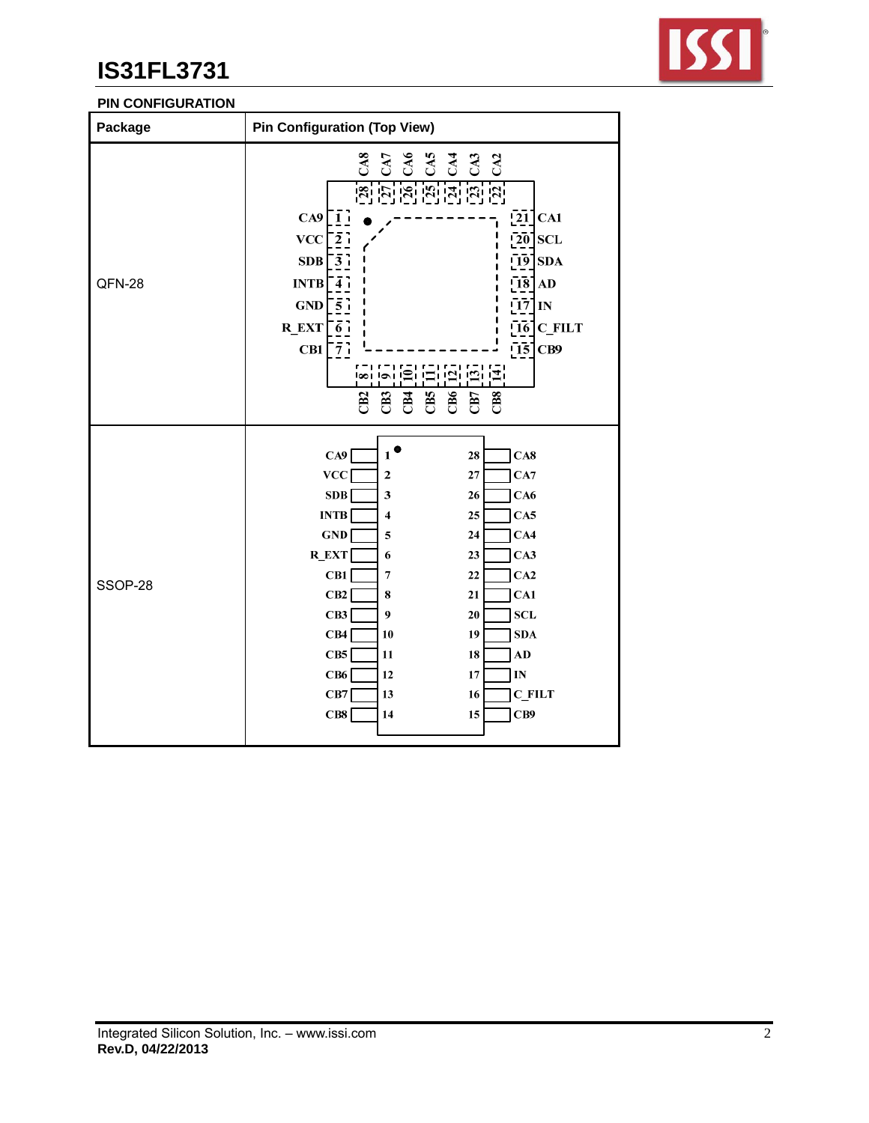

## **PIN CONFIGURATION**

| Package | <b>Pin Configuration (Top View)</b>                                                                                                                                                                                                                                                                                                                                                                                                                                                                                                     |
|---------|-----------------------------------------------------------------------------------------------------------------------------------------------------------------------------------------------------------------------------------------------------------------------------------------------------------------------------------------------------------------------------------------------------------------------------------------------------------------------------------------------------------------------------------------|
| QFN-28  | <u>is is is is is is is i</u><br>$\left[\overline{21}\right]$ CA1<br>$CA9$ [1]<br>$\left[2\overline{0}\right]$ SCL<br><b>VCC</b><br>$\bar{2}$ ;<br>$\left[\overline{19}\right]$ SDA<br>SDB<br>$\lceil 3 \rceil$<br>$\overline{18}$ AD<br><b>INTB</b><br>$\overline{\bf{4}}$<br>$[17]$ IN<br>GND<br>$\sqrt{5}$ i<br>$\left[\overline{16}\right]$ C_FILT<br>$R$ <sub>EXT</sub> $\frac{1}{6}$<br>$\overline{15}$<br>$CB1\overline{7}$<br>CB9<br>j=i jej jej j±j<br>ا≘ا اها اها<br>CB5<br>CB6<br>CB3<br>EB<br>CB7<br>C <sub>BS</sub><br>CB2 |
| SSOP-28 | $\mathbf{1}^{\bullet}$<br>CA9<br>28<br>CA8<br>VCC<br>27<br>CA7<br>2<br>SDB<br>3<br>26<br>CA6<br><b>INTB</b><br>25<br>CA5<br>4<br>GND<br>5<br>24<br>CA4<br><b>R_EXT</b><br>23<br>CA3<br>6<br>CB1<br>CA2<br>22<br>7<br>CB2<br>21<br>CA1<br>8<br>CB3<br>9<br><b>SCL</b><br>20<br>CB4<br>19<br><b>SDA</b><br>10<br>CB5<br>11<br>18<br>AD<br>CB6<br>12<br>17<br>$\mathbf{IN}$<br>CB7<br><b>C_FILT</b><br>13<br>16<br>CB8<br>CB9<br>14<br>15                                                                                                  |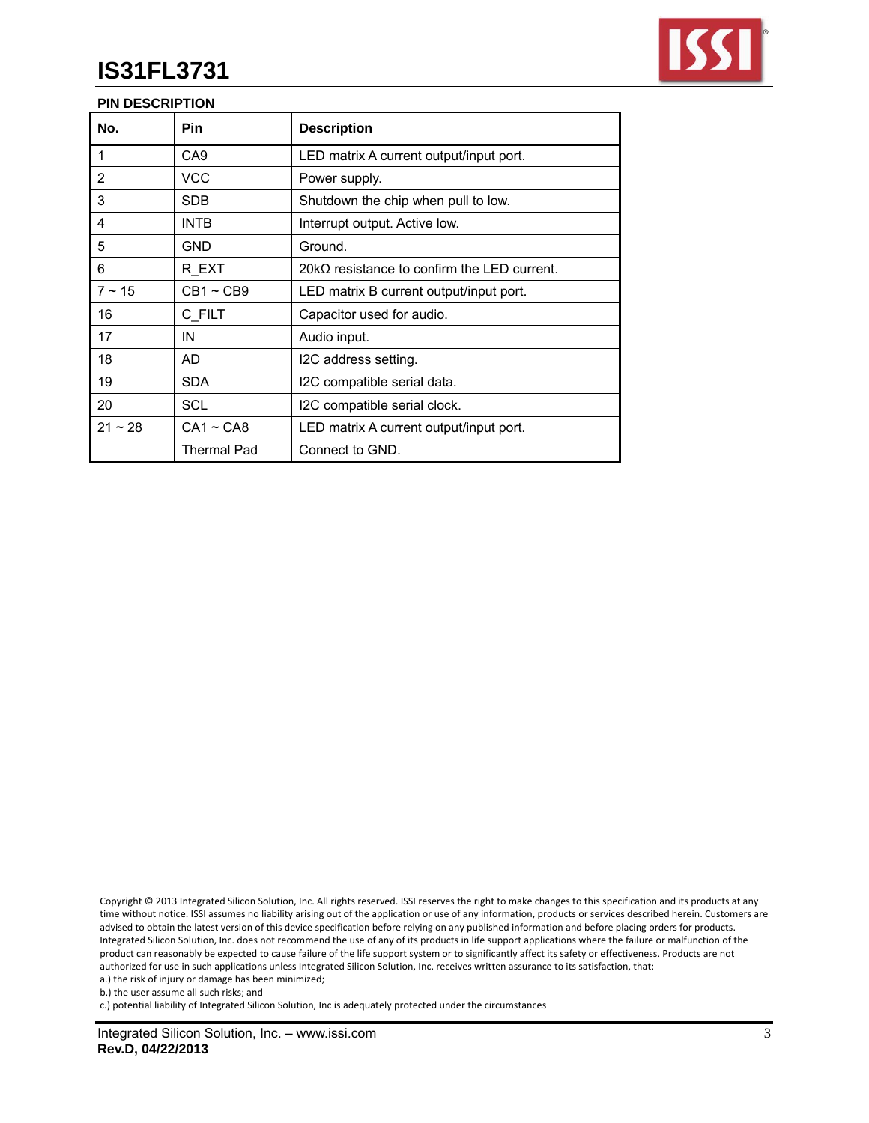

## **PIN DESCRIPTION**

| No.         | <b>Pin</b>  | <b>Description</b>                                 |
|-------------|-------------|----------------------------------------------------|
| 1           | CA9         | LED matrix A current output/input port.            |
| 2           | VCC         | Power supply.                                      |
| 3           | SDB.        | Shutdown the chip when pull to low.                |
| 4           | INTB        | Interrupt output. Active low.                      |
| 5           | GND         | Ground.                                            |
| 6           | R EXT       | $20k\Omega$ resistance to confirm the LED current. |
| $7 \sim 15$ | $CB1 - CB9$ | LED matrix B current output/input port.            |
| 16          | C FILT      | Capacitor used for audio.                          |
| 17          | IN          | Audio input.                                       |
| 18          | AD          | I2C address setting.                               |
| 19          | <b>SDA</b>  | I2C compatible serial data.                        |
| 20          | SCL         | I2C compatible serial clock.                       |
| $21 - 28$   | $CA1 - CAB$ | LED matrix A current output/input port.            |
|             | Thermal Pad | Connect to GND.                                    |

Copyright © 2013 Integrated Silicon Solution, Inc. All rights reserved. ISSI reserves the right to make changes to this specification and its products at any time without notice. ISSI assumes no liability arising out of the application or use of any information, products or services described herein. Customers are advised to obtain the latest version of this device specification before relying on any published information and before placing orders for products. Integrated Silicon Solution, Inc. does not recommend the use of any of its products in life support applications where the failure or malfunction of the product can reasonably be expected to cause failure of the life support system or to significantly affect its safety or effectiveness. Products are not authorized for use in such applications unless Integrated Silicon Solution, Inc. receives written assurance to its satisfaction, that:

a.) the risk of injury or damage has been minimized;

c.) potential liability of Integrated Silicon Solution, Inc is adequately protected under the circumstances

b.) the user assume all such risks; and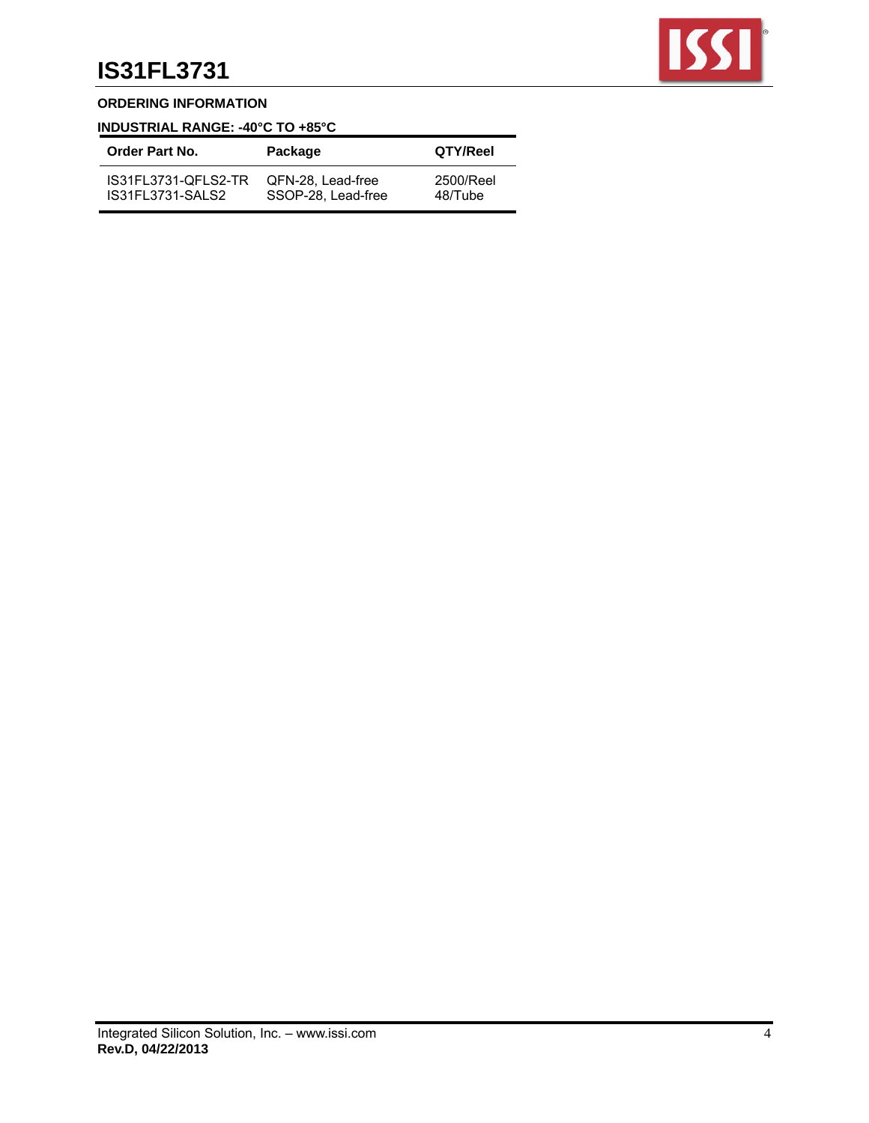

## **ORDERING INFORMATION**

# **INDUSTRIAL RANGE: -40°C TO +85°C**

| Order Part No.          | Package            | QTY/Reel  |
|-------------------------|--------------------|-----------|
| IS31FL3731-QFLS2-TR     | QFN-28. Lead-free  | 2500/Reel |
| <b>IS31FL3731-SALS2</b> | SSOP-28. Lead-free | 48/Tube   |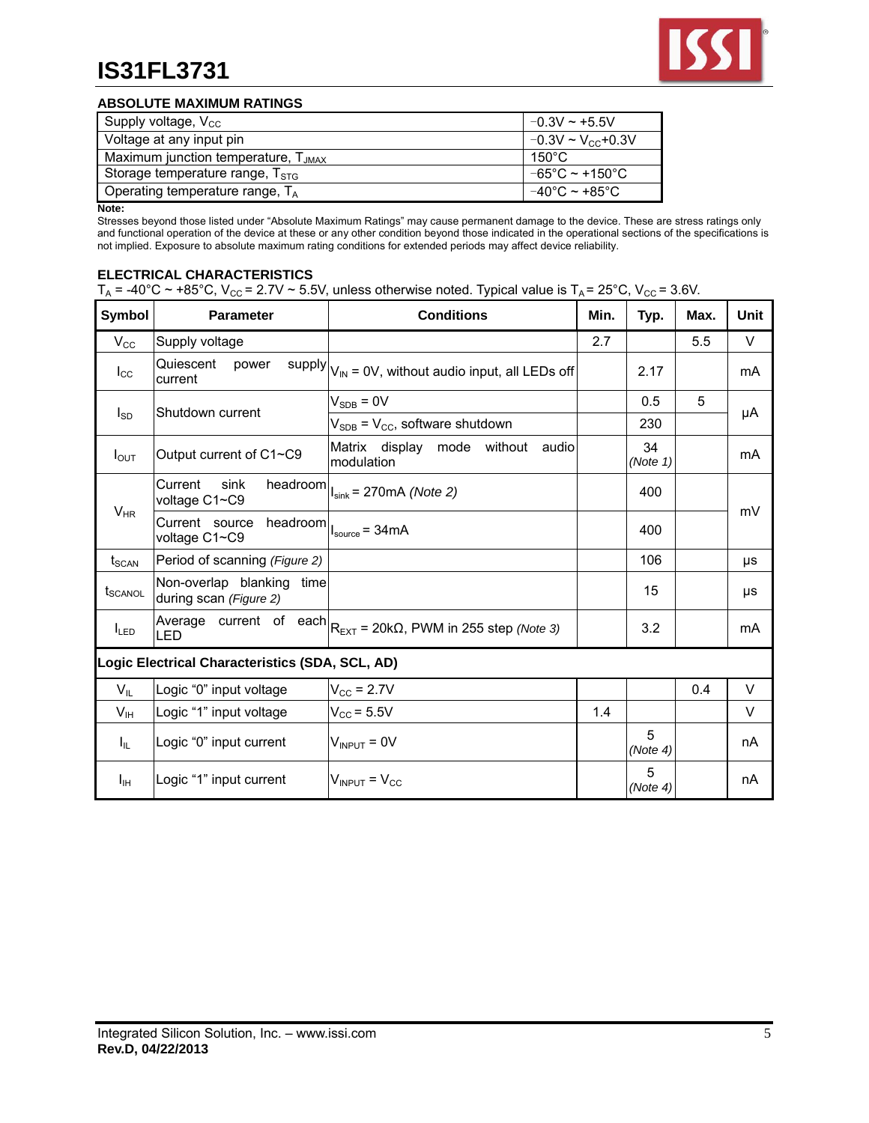

### **ABSOLUTE MAXIMUM RATINGS**

| Supply voltage, $V_{\text{CC}}$             | $-0.3V \approx +5.5V$               |
|---------------------------------------------|-------------------------------------|
| Voltage at any input pin                    | $-0.3V \sim V_{\rm cc}$ +0.3V       |
| Maximum junction temperature, $T_{JMAX}$    | 150°C                               |
| Storage temperature range, T <sub>STG</sub> | $-65^{\circ}$ C ~ +150 $^{\circ}$ C |
| Operating temperature range, $T_A$          | $-40^{\circ}$ C ~ +85 $^{\circ}$ C  |

**Note:** 

Stresses beyond those listed under "Absolute Maximum Ratings" may cause permanent damage to the device. These are stress ratings only and functional operation of the device at these or any other condition beyond those indicated in the operational sections of the specifications is not implied. Exposure to absolute maximum rating conditions for extended periods may affect device reliability.

## **ELECTRICAL CHARACTERISTICS**

| $T_A$ = -40°C ~ +85°C, V <sub>cc</sub> = 2.7V ~ 5.5V, unless otherwise noted. Typical value is $T_A$ = 25°C, V <sub>cc</sub> = 3.6V. |  |  |  |
|--------------------------------------------------------------------------------------------------------------------------------------|--|--|--|
|                                                                                                                                      |  |  |  |

| <b>Symbol</b>     | <b>Parameter</b>                                                                | <b>Conditions</b>                                                               | Min. | Typ.           | Max. | <b>Unit</b> |
|-------------------|---------------------------------------------------------------------------------|---------------------------------------------------------------------------------|------|----------------|------|-------------|
| $V_{\rm CC}$      | Supply voltage                                                                  |                                                                                 | 2.7  |                | 5.5  | V           |
| $I_{\rm CC}$      | Quiescent<br>power<br>current                                                   | supply $ V_{\text{IN}} = 0V$ , without audio input, all LEDs off                |      | 2.17           |      | mA          |
|                   | Shutdown current                                                                | $V_{SDB} = 0V$                                                                  |      | 0.5            | 5    |             |
| $I_{SD}$          |                                                                                 | $V_{SDB}$ = $V_{CC}$ , software shutdown                                        |      | 230            |      | μA          |
| $I_{\text{OUT}}$  | Output current of C1~C9                                                         | Matrix display mode without audio<br>Imodulation                                |      | 34<br>(Note 1) |      | mA          |
|                   | Current<br>sink<br>voltage C1~C9                                                | headroom $\left  \right _{\text{sink}} = 270$ mA (Note 2)                       |      | 400            |      | mV          |
| $V_{HR}$          | Current source headroom $\Big _{\text{source}} = 34 \text{mA}$<br>voltage C1~C9 |                                                                                 |      | 400            |      |             |
| t <sub>SCAN</sub> | Period of scanning (Figure 2)                                                   |                                                                                 |      | 106            |      | μs          |
| <b>t</b> scanol   | Non-overlap blanking<br>time<br>during scan (Figure 2)                          |                                                                                 |      | 15             |      | μs          |
| $I_{LED}$         | LED                                                                             | Average current of each $R_{\text{EXT}} = 20k\Omega$ , PWM in 255 step (Note 3) |      | 3.2            |      | mA          |
|                   | Logic Electrical Characteristics (SDA, SCL, AD)                                 |                                                                                 |      |                |      |             |
| $V_{IL}$          | Logic "0" input voltage                                                         | $V_{CC}$ = 2.7V                                                                 |      |                | 0.4  | V           |
| V <sub>IH</sub>   | Logic "1" input voltage                                                         | $V_{\text{CC}}$ = 5.5V                                                          | 1.4  |                |      | V           |
| $I_{IL}$          | Logic "0" input current                                                         | $V_{IDPIIT} = 0V$                                                               |      | 5<br>(Note 4)  |      | nA          |
| Īш                | Logic "1" input current                                                         | $V_{\text{INPUT}}$ = $V_{\text{CC}}$                                            |      | 5<br>(Note 4)  |      | nA          |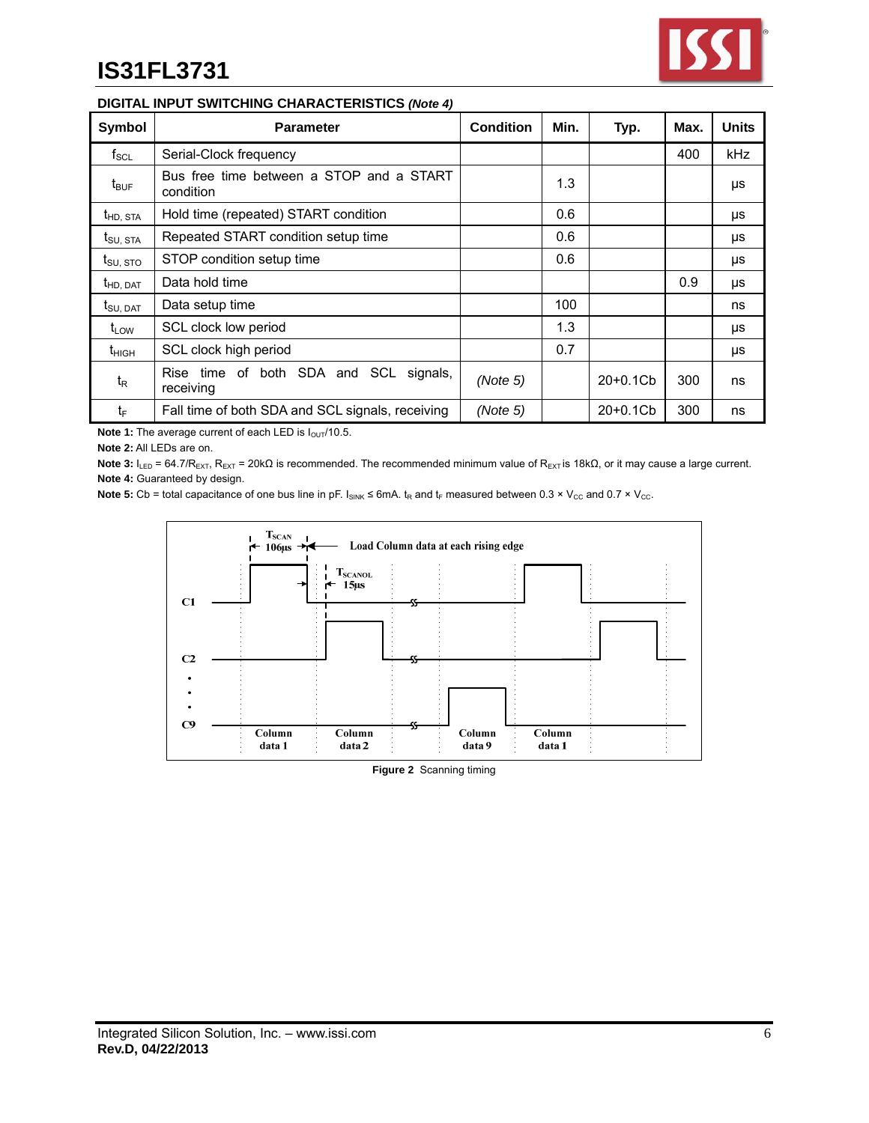

## **DIGITAL INPUT SWITCHING CHARACTERISTICS** *(Note 4)*

| Symbol               | <b>Parameter</b>                                          | <b>Condition</b> | Min. | Typ.       | Max. | Units      |
|----------------------|-----------------------------------------------------------|------------------|------|------------|------|------------|
| $f_{\rm SCL}$        | Serial-Clock frequency                                    |                  |      |            | 400  | <b>kHz</b> |
| $t_{\text{BUF}}$     | Bus free time between a STOP and a START<br>condition     |                  | 1.3  |            |      | μs         |
| $t_{HD,STA}$         | Hold time (repeated) START condition                      |                  | 0.6  |            |      | μs         |
| $t_{\text{SU, STA}}$ | Repeated START condition setup time                       |                  | 0.6  |            |      | μs         |
| $t_{\text{SU, STO}}$ | STOP condition setup time                                 |                  | 0.6  |            |      | μs         |
| t <sub>HD, DAT</sub> | Data hold time                                            |                  |      |            | 0.9  | μs         |
| $t_{\text{SU, DAT}}$ | Data setup time                                           |                  | 100  |            |      | ns         |
| $t_{\text{LOW}}$     | SCL clock low period                                      |                  | 1.3  |            |      | μs         |
| $t_{\text{HIGH}}$    | SCL clock high period                                     |                  | 0.7  |            |      | μs         |
| $t_{R}$              | time of both SDA and SCL<br>Rise<br>signals,<br>receiving | (Note 5)         |      | $20+0.1Cb$ | 300  | ns         |
| t⊧                   | Fall time of both SDA and SCL signals, receiving          | (Note 5)         |      | $20+0.1Cb$ | 300  | ns         |

Note 1: The average current of each LED is  $I_{\text{OUT}}/10.5$ .

**Note 2:** All LEDs are on.

**Note 3:** I<sub>LED</sub> = 64.7/R<sub>EXT</sub>, R<sub>EXT</sub> = 20kΩ is recommended. The recommended minimum value of R<sub>EXT</sub> is 18kΩ, or it may cause a large current. **Note 4:** Guaranteed by design.

**Note 5:** Cb = total capacitance of one bus line in pF.  $I_{SINK} \le 6mA$ .  $t_R$  and  $t_F$  measured between 0.3 × V<sub>cc</sub> and 0.7 × V<sub>cc</sub>.



**Figure 2** Scanning timing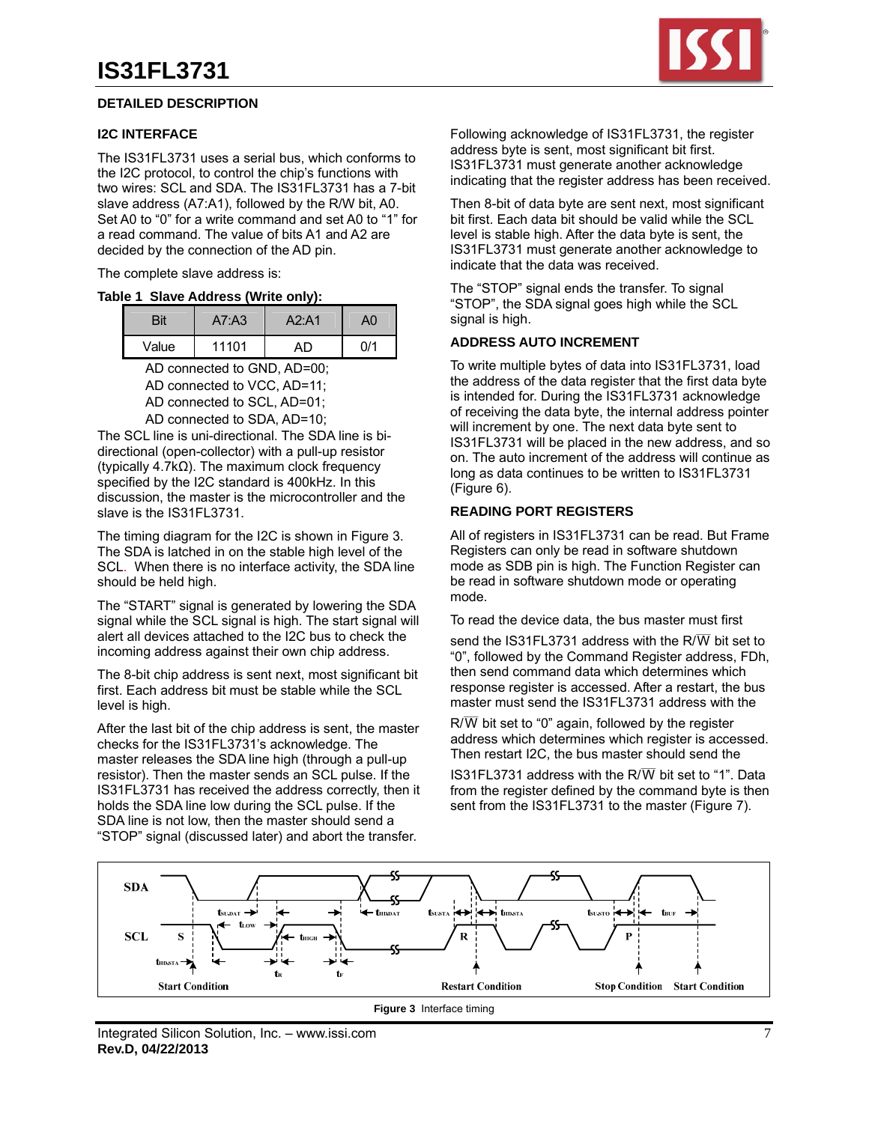#### **DETAILED DESCRIPTION**

#### **I2C INTERFACE**

The IS31FL3731 uses a serial bus, which conforms to the I2C protocol, to control the chip's functions with two wires: SCL and SDA. The IS31FL3731 has a 7-bit slave address (A7:A1), followed by the R/W bit, A0. Set A0 to "0" for a write command and set A0 to "1" for a read command. The value of bits A1 and A2 are decided by the connection of the AD pin.

The complete slave address is:

#### **Table 1 Slave Address (Write only):**

|       | A7: A3 | A2: A1 | ۹0  |
|-------|--------|--------|-----|
| Value | 11101  | AD.    | n/1 |

AD connected to GND, AD=00;

 AD connected to VCC, AD=11; AD connected to SCL, AD=01; AD connected to SDA, AD=10;

The SCL line is uni-directional. The SDA line is bidirectional (open-collector) with a pull-up resistor (typically 4.7kΩ). The maximum clock frequency specified by the I2C standard is 400kHz. In this discussion, the master is the microcontroller and the slave is the IS31FL3731.

The timing diagram for the I2C is shown in Figure 3. The SDA is latched in on the stable high level of the SCL. When there is no interface activity, the SDA line should be held high.

The "START" signal is generated by lowering the SDA signal while the SCL signal is high. The start signal will alert all devices attached to the I2C bus to check the incoming address against their own chip address.

The 8-bit chip address is sent next, most significant bit first. Each address bit must be stable while the SCL level is high.

After the last bit of the chip address is sent, the master checks for the IS31FL3731's acknowledge. The master releases the SDA line high (through a pull-up resistor). Then the master sends an SCL pulse. If the IS31FL3731 has received the address correctly, then it holds the SDA line low during the SCL pulse. If the SDA line is not low, then the master should send a "STOP" signal (discussed later) and abort the transfer.



Following acknowledge of IS31FL3731, the register address byte is sent, most significant bit first. IS31FL3731 must generate another acknowledge indicating that the register address has been received.

Then 8-bit of data byte are sent next, most significant bit first. Each data bit should be valid while the SCL level is stable high. After the data byte is sent, the IS31FL3731 must generate another acknowledge to indicate that the data was received.

The "STOP" signal ends the transfer. To signal "STOP", the SDA signal goes high while the SCL signal is high.

#### **ADDRESS AUTO INCREMENT**

To write multiple bytes of data into IS31FL3731, load the address of the data register that the first data byte is intended for. During the IS31FL3731 acknowledge of receiving the data byte, the internal address pointer will increment by one. The next data byte sent to IS31FL3731 will be placed in the new address, and so on. The auto increment of the address will continue as long as data continues to be written to IS31FL3731 (Figure 6).

#### **READING PORT REGISTERS**

All of registers in IS31FL3731 can be read. But Frame Registers can only be read in software shutdown mode as SDB pin is high. The Function Register can be read in software shutdown mode or operating mode.

To read the device data, the bus master must first

send the IS31FL3731 address with the R/ $\overline{\text{W}}$  bit set to "0", followed by the Command Register address, FDh, then send command data which determines which response register is accessed. After a restart, the bus master must send the IS31FL3731 address with the

 $R/\overline{W}$  bit set to "0" again, followed by the register address which determines which register is accessed. Then restart I2C, the bus master should send the

IS31FL3731 address with the R/ $\overline{W}$  bit set to "1". Data from the register defined by the command byte is then sent from the IS31FL3731 to the master (Figure 7).

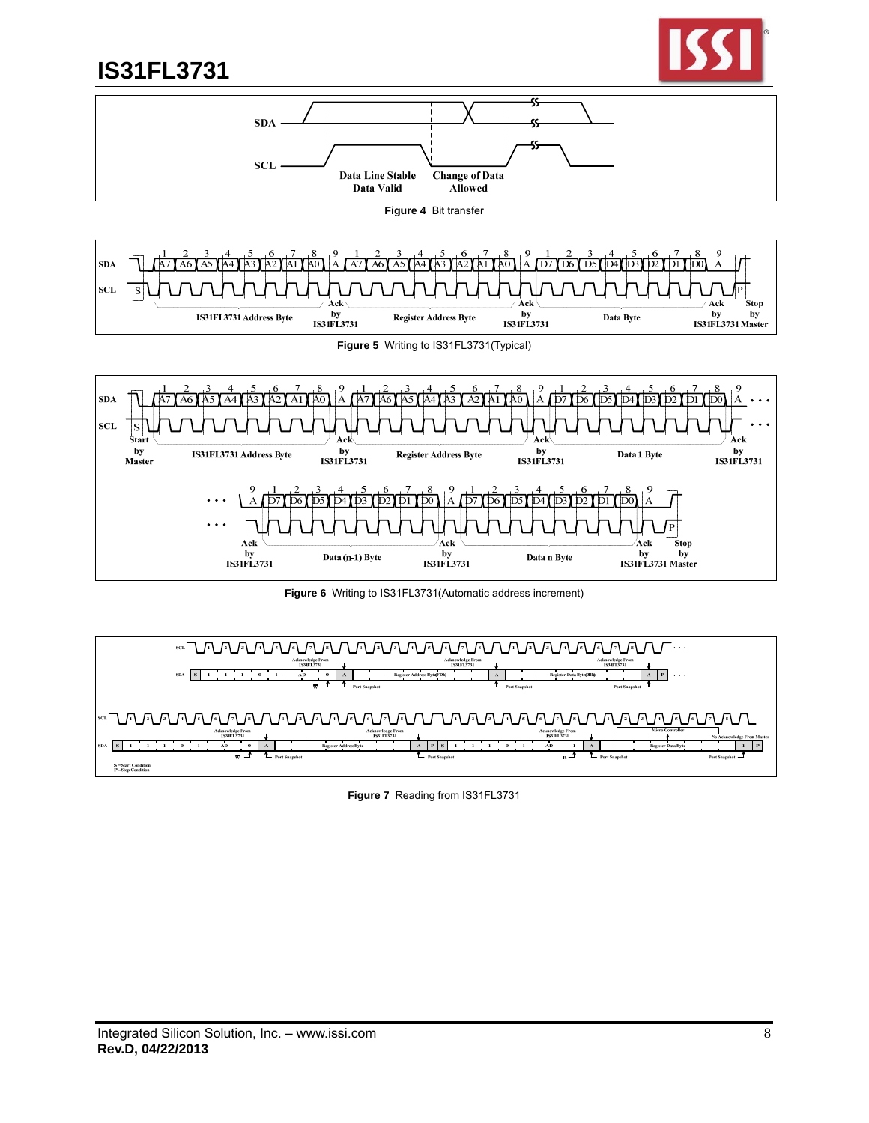



**Figure 4** Bit transfer





**Figure 6** Writing to IS31FL3731(Automatic address increment)



**Figure 7** Reading from IS31FL3731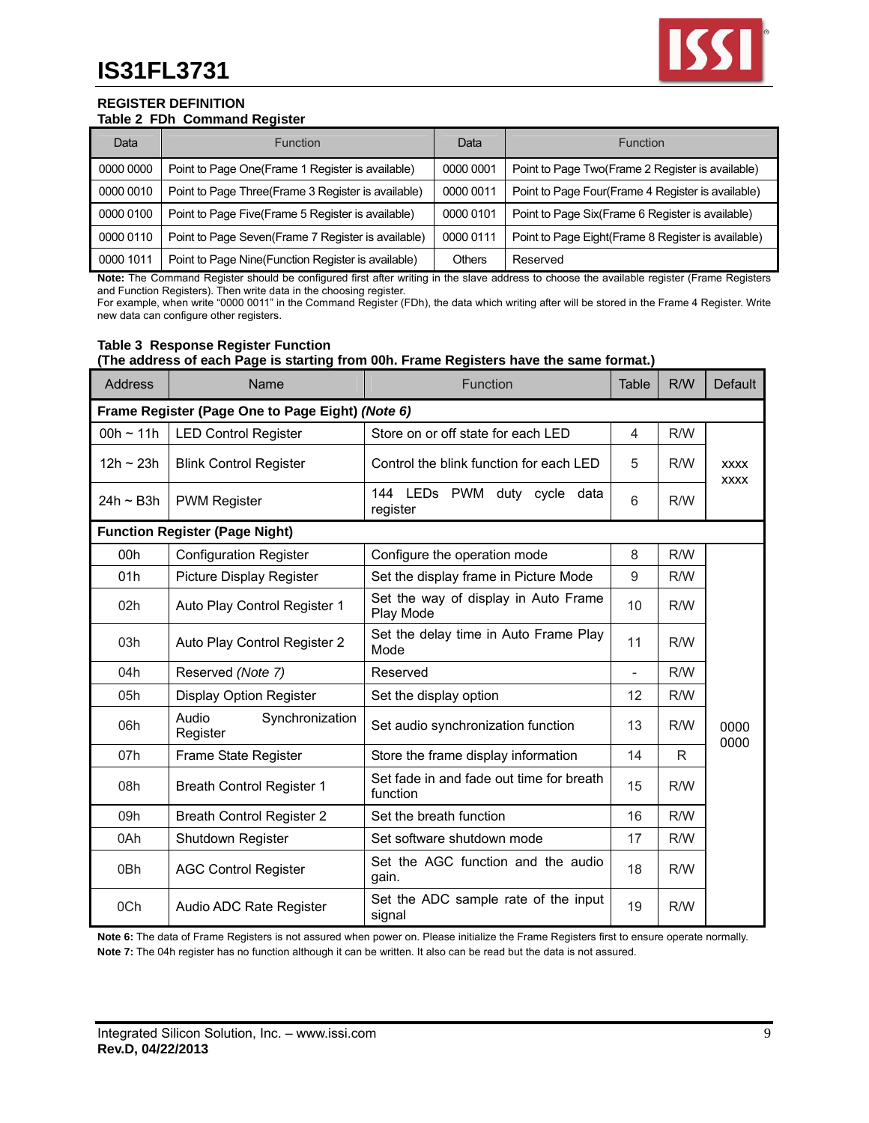

#### **REGISTER DEFINITION Table 2 FDh Command Register**

| Data      | <b>Function</b>                                     | Data          | <b>Function</b>                                     |
|-----------|-----------------------------------------------------|---------------|-----------------------------------------------------|
| 0000 0000 | Point to Page One(Frame 1 Register is available)    | 0000 0001     | Point to Page Two(Frame 2 Register is available)    |
| 0000 0010 | Point to Page Three (Frame 3 Register is available) | 0000 0011     | Point to Page Four(Frame 4 Register is available)   |
| 0000 0100 | Point to Page Five(Frame 5 Register is available)   | 0000 0101     | Point to Page Six(Frame 6 Register is available)    |
| 0000 0110 | Point to Page Seven (Frame 7 Register is available) | 0000 0111     | Point to Page Eight (Frame 8 Register is available) |
| 0000 1011 | Point to Page Nine (Function Register is available) | <b>Others</b> | Reserved                                            |

Note: The Command Register should be configured first after writing in the slave address to choose the available register (Frame Registers and Function Registers). Then write data in the choosing register.

For example, when write "0000 0011" in the Command Register (FDh), the data which writing after will be stored in the Frame 4 Register. Write new data can configure other registers.

#### **Table 3 Response Register Function (The address of each Page is starting from 00h. Frame Registers have the same format.)**

| Address     | Name                                             | Function                                             |                | R/W | <b>Default</b>             |
|-------------|--------------------------------------------------|------------------------------------------------------|----------------|-----|----------------------------|
|             | Frame Register (Page One to Page Eight) (Note 6) |                                                      |                |     |                            |
| $00h - 11h$ | <b>LED Control Register</b>                      | Store on or off state for each LED                   | $\overline{4}$ | R/W |                            |
| $12h - 23h$ | <b>Blink Control Register</b>                    | Control the blink function for each LED              | 5              | R/W | <b>XXXX</b><br><b>XXXX</b> |
| 24h ~ B3h   | <b>PWM Register</b>                              | 144 LEDs PWM duty cycle data<br>register             | 6              | R/W |                            |
|             | <b>Function Register (Page Night)</b>            |                                                      |                |     |                            |
| 00h         | <b>Configuration Register</b>                    | Configure the operation mode                         | 8              | R/W |                            |
| 01h         | Picture Display Register                         | Set the display frame in Picture Mode                | 9              | R/W |                            |
| 02h         | Auto Play Control Register 1                     | Set the way of display in Auto Frame<br>Play Mode    | 10             | R/W |                            |
| 03h         | Auto Play Control Register 2                     | Set the delay time in Auto Frame Play<br>Mode        | 11             | R/W |                            |
| 04h         | Reserved (Note 7)                                | Reserved                                             |                | R/W |                            |
| 05h         | <b>Display Option Register</b>                   | Set the display option                               | 12             | R/W |                            |
| 06h         | Audio<br>Synchronization<br>Register             | Set audio synchronization function                   | 13             | R/W | 0000<br>0000               |
| 07h         | Frame State Register                             | Store the frame display information                  | 14             | R   |                            |
| 08h         | <b>Breath Control Register 1</b>                 | Set fade in and fade out time for breath<br>function | 15             | R/W |                            |
| 09h         | <b>Breath Control Register 2</b>                 | Set the breath function                              | 16             | R/W |                            |
| 0Ah         | Shutdown Register                                | Set software shutdown mode                           | 17             | R/W |                            |
| 0Bh         | <b>AGC Control Register</b>                      | Set the AGC function and the audio<br>gain.          | 18             | R/W |                            |
| 0Ch         | Audio ADC Rate Register                          | Set the ADC sample rate of the input<br>signal       | 19             | R/W |                            |

**Note 6:** The data of Frame Registers is not assured when power on. Please initialize the Frame Registers first to ensure operate normally. **Note 7:** The 04h register has no function although it can be written. It also can be read but the data is not assured.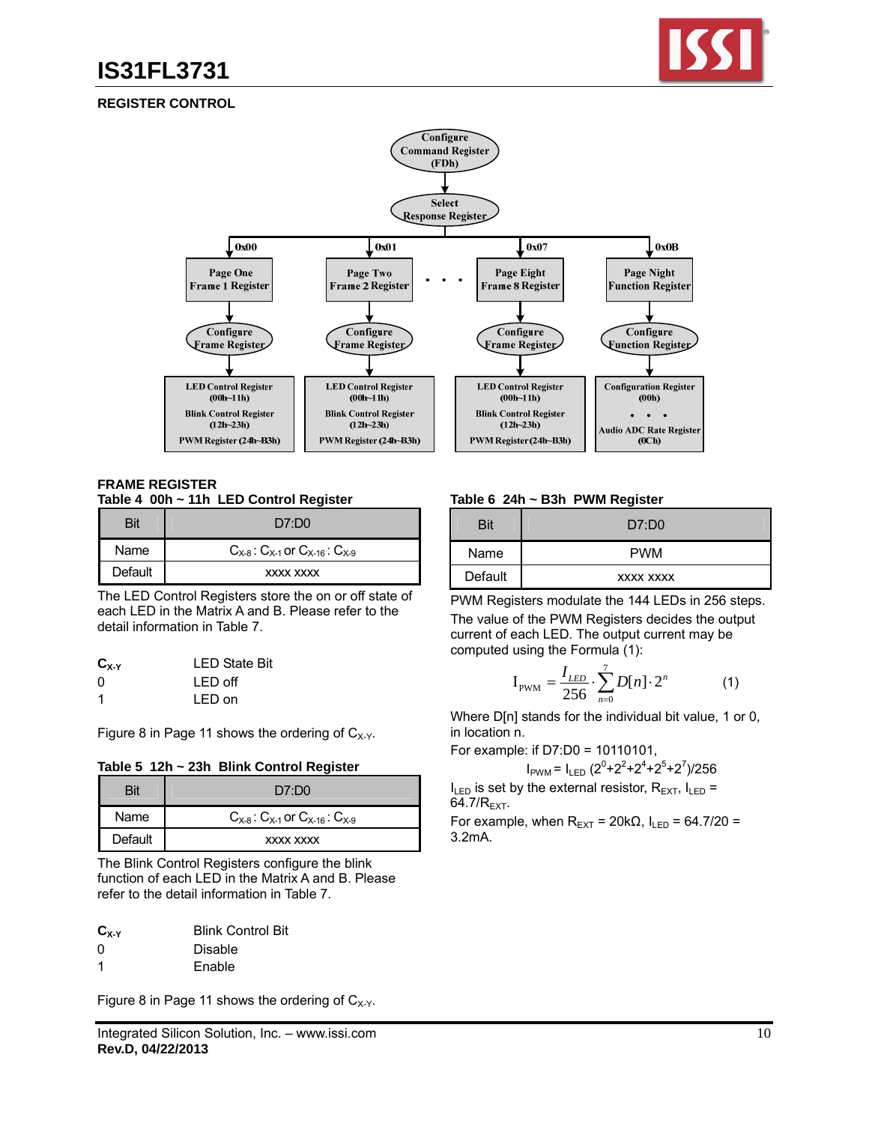

## **REGISTER CONTROL**



#### **FRAME REGISTER Table 4 00h ~ 11h LED Control Register**

| Bit     | D7:D0                                           |
|---------|-------------------------------------------------|
| Name    | $C_{X-8}$ : $C_{X-1}$ or $C_{X-16}$ : $C_{X-9}$ |
| Default | XXXX XXXX                                       |

The LED Control Registers store the on or off state of each LED in the Matrix A and B. Please refer to the detail information in Table 7.

| $C_{X-Y}$ | <b>LED State Bit</b> |
|-----------|----------------------|
| 0         | LED off              |
| -1        | LED on               |

Figure 8 in Page 11 shows the ordering of  $C_{X-Y}$ .

| Bit     | D7:D0                                           |
|---------|-------------------------------------------------|
| Name    | $C_{X-8}$ . $C_{X-1}$ or $C_{X-16}$ . $C_{X-9}$ |
| Default | XXXX XXXX                                       |

The Blink Control Registers configure the blink function of each LED in the Matrix A and B. Please refer to the detail information in Table 7.

| $C_{X-Y}$ | <b>Blink Control Bit</b> |
|-----------|--------------------------|
| 0         | Disable                  |
| 1         | Enable                   |

Figure 8 in Page 11 shows the ordering of  $C_{X-Y}$ .

### **Table 6 24h ~ B3h PWM Register**

| <b>Bit</b> | D7:DD0     |
|------------|------------|
| Name       | <b>PWM</b> |
| Default    | XXXX XXXX  |

PWM Registers modulate the 144 LEDs in 256 steps. The value of the PWM Registers decides the output current of each LED. The output current may be computed using the Formula (1):

$$
I_{\text{PWM}} = \frac{I_{LED}}{256} \cdot \sum_{n=0}^{7} D[n] \cdot 2^n \tag{1}
$$

Where  $D[n]$  stands for the individual bit value, 1 or 0, in location n.

For example: if D7:D0 = 10110101,

 $I_{\text{PWM}} = I_{\text{LED}} \left( 2^0 + 2^2 + 2^4 + 2^5 + 2^7 \right) / 256$  $I_{LED}$  is set by the external resistor,  $R_{EXT}$ ,  $I_{LED}$  =

64.7/ $R_{\text{EXT}}$ .

For example, when  $R_{\text{EXT}}$  = 20k $\Omega$ ,  $I_{\text{LED}}$  = 64.7/20 = 3.2mA.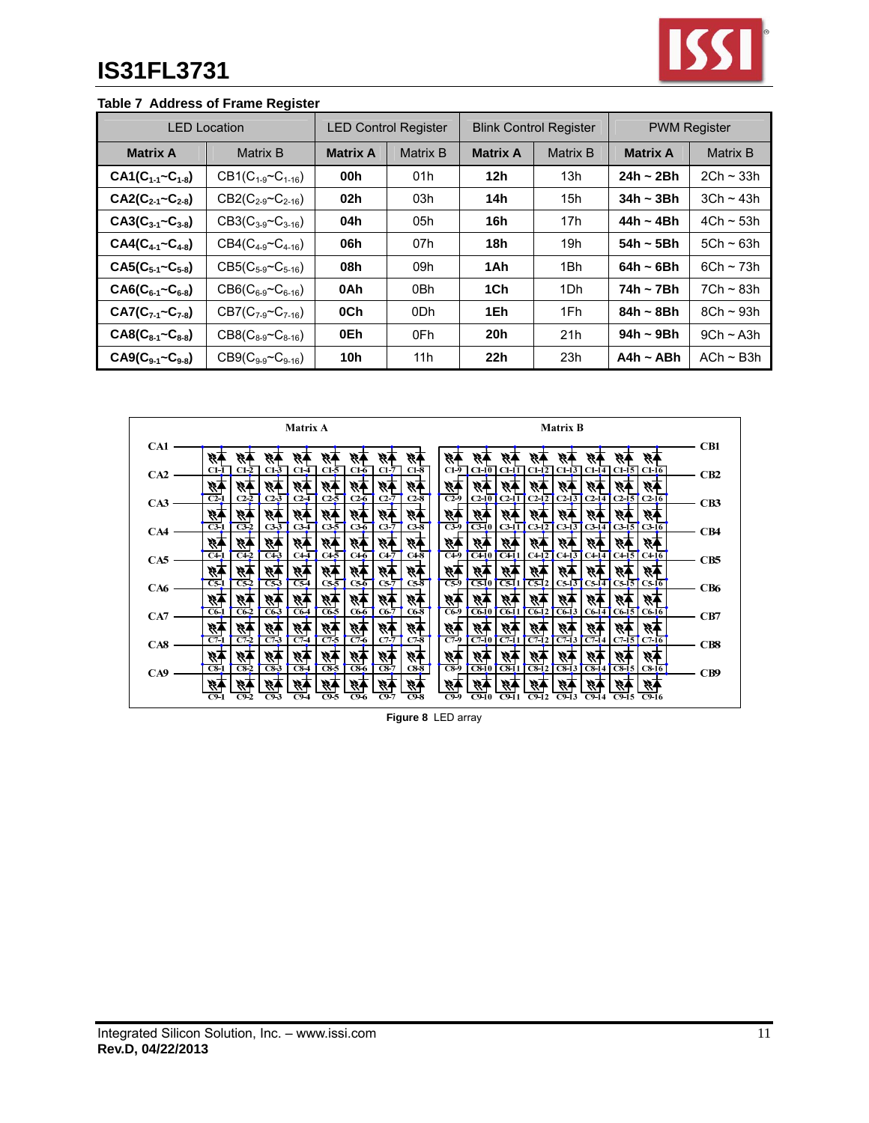

# **Table 7 Address of Frame Register**

| <b>LED Location</b>       |                              | <b>LED Control Register</b> |          | <b>Blink Control Register</b> |                 | <b>PWM Register</b> |                |
|---------------------------|------------------------------|-----------------------------|----------|-------------------------------|-----------------|---------------------|----------------|
| <b>Matrix A</b>           | Matrix B                     | <b>Matrix A</b>             | Matrix B | <b>Matrix A</b>               | Matrix B        | <b>Matrix A</b>     | Matrix B       |
| $CA1(C_{1-1} - C_{1-8})$  | $CB1(C_{1-9} \sim C_{1-16})$ | 00h                         | 01h      | 12 <sub>h</sub>               | 13h             | $24h - 2Bh$         | $2Ch \sim 33h$ |
| $CA2(C_{2-1} - C_{2-8})$  | $CB2(C_{2-9}C_{2-16})$       | 02 <sub>h</sub>             | 03h      | 14h                           | 15h             | 34h ~ 3Bh           | $3Ch \sim 43h$ |
| $CA3(C_{3-1} - C_{3-8})$  | $CB3(C_{3.9} \sim C_{3.16})$ | 04h                         | 05h      | 16h                           | 17 <sub>h</sub> | $44h - 4Bh$         | $4Ch \sim 53h$ |
| $CA4(C_{4-1} - C_{4-8})$  | $CB4(C_{4.9} \sim C_{4.16})$ | 06h                         | 07h      | 18h                           | 19 <sub>h</sub> | $54h - 5Bh$         | $5Ch \sim 63h$ |
| $CAS(C_{5-1}~C_{5-8})$    | $CB5(C_{5-9} \sim C_{5-16})$ | 08h                         | 09h      | 1Ah                           | 1Bh             | $64h - 6Bh$         | $6Ch \sim 73h$ |
| $CAG(C_{6-1}~C_{6-8})$    | $CB6(C_{6-9} \sim C_{6-16})$ | 0Ah                         | 0Bh      | 1Ch                           | 1Dh             | 74h ~ 7Bh           | $7Ch \sim 83h$ |
| $CA7(C_{7-1}~C_{7-8})$    | $CB7(C_{7-9}C_{7-16})$       | 0Ch                         | 0Dh      | 1Eh                           | 1Fh             | $84h - 8Bh$         | $8Ch \sim 93h$ |
| $CAS(C_{8-1}~C_{8-8})$    | $CB8(C_{8-9} \sim C_{8-16})$ | 0Eh                         | 0Fh      | 20h                           | 21h             | 94h ~ 9Bh           | $9Ch \sim A3h$ |
| $C A9(C_{9-1} - C_{9-8})$ | $CB9(C_{9-9} \sim C_{9-16})$ | 10 <sub>h</sub>             | 11h      | 22h                           | 23h             | $A4h \sim ABh$      | $ACh \sim B3h$ |

|     | Matrix A                                                                                                                                                            | <b>Matrix B</b>                                                                                                                                                                 |                 |
|-----|---------------------------------------------------------------------------------------------------------------------------------------------------------------------|---------------------------------------------------------------------------------------------------------------------------------------------------------------------------------|-----------------|
| CA1 |                                                                                                                                                                     |                                                                                                                                                                                 | CB1             |
| CA2 | ç,<br>$C1-3$<br>$C1-5$<br>$C1-7$<br>$C1-8$<br>$C1-1$<br>$C1-2$<br>$C1-4$<br>$C1-6$                                                                                  | W<br>C1-10 C1-11 C1-12 C1-13 C1-14 C1-15 C1-16<br>$C1-9$                                                                                                                        | CB <sub>2</sub> |
|     | 峄<br>¥,<br>$\overline{C2-1}$<br>$C2-2$<br>$C2-3$<br>$C2-5$<br>$C2-4$<br>$C2-6$<br>$C2-7$<br>$C2-8$                                                                  | 再彩<br>柄<br>$\overline{C29}$<br>$C2-10$<br>$C2-12$<br>$C2-13$<br>$C2-14$<br>$C2-15$<br>$C2-16$<br>$C2-11$                                                                        |                 |
| CA3 | 不好<br>H,<br>₹4<br>不彩<br>$+55$<br>₩                                                                                                                                  | 柄<br>经生                                                                                                                                                                         | CB3             |
| CA4 | $\overline{c3-1}$<br>$C3-3$<br>$C3-7$<br>$C3-2$<br>$C3-5$<br>$C3-6$<br>$C3-8$<br>$C3-4$                                                                             | <b>C3-9</b><br>$C3-13$ $C3-14$ $C3-15$ $C3-16$<br>$C3-10$<br>$C3-11C3-12$                                                                                                       | CB4             |
| CA5 | 59<br>Ř<br>G,<br>$\overline{C43}$<br>$C4-1$<br>C <sub>42</sub><br>$C4\overline{5}$<br>$C4-6$<br>$C4-7$<br>$C4-8$<br>$C4-4$                                          | 柄<br>47<br>$C4-9$<br>$\overline{C411}$<br>$C4-13$ $C4-14$<br>$\overline{C410}$<br>$C4-12$<br>C415<br>$C4-16$                                                                    | CB <sub>5</sub> |
|     | 不好<br>-99<br>₩.                                                                                                                                                     | 柄<br>经生                                                                                                                                                                         |                 |
| CA6 | $\overline{CS2}$<br>$\overline{CS}$ 3<br>$cs\overline{s}$<br>$C5-1$<br>$C5-4$<br>$C5-6$<br>$C5-7$<br>$C5-8$<br>स्र<br>₩<br>53<br>殄<br>Ý,                            | $C5-9$<br>$C5-10$<br>$C5-11$<br>C512<br>$CS-13$ $CS-14$<br>$C5-15$ $C5-16$<br>柄<br>ং7<br>W.<br>炒<br>W.                                                                          | CB <sub>6</sub> |
| CA7 | $C6-2$<br>$C6-5$<br>$C6-1$<br>$C6-3$<br>$C6-6$<br>$C6-7$<br>C6-4<br>C6-8                                                                                            | $\overline{C6-9}$<br>$C6-10$<br>$C6-11$<br>$C6-12$<br>$\overline{C6-13}$<br>$C6-14$<br>$CG-15$ $CG-16$                                                                          | CB7             |
|     | ₩.<br>Ř.<br>不好<br>V)<br>99<br>內<br>$C7-5$<br>$C7-1$<br>$C7-2$<br>$C7-3$<br>$C7-6$<br>$C7-4$<br>$C7-7$<br>$C7-8$                                                     | 柄<br>87<br>W<br>V)<br>∾<br>$C7-9$<br>$C7-11$<br>$\overline{C7-12}$<br>$C7-13$<br>$CT-14$<br>$\overline{C7-10}$<br>$C7-15$ $C7-16$                                               |                 |
| CA8 | 巠<br>大夫<br>Ą.<br>47                                                                                                                                                 | 柄<br>再彩<br>W.<br>₩,<br>₩.                                                                                                                                                       | CB8             |
| CA9 | $\overline{CS}$<br>$\overline{\text{cs}}$<br>$\overline{\text{C}8-6}$<br>$\overline{C8-7}$<br>$\overline{c}$ 8-1<br>$\overline{C8-2}$<br>$\overline{C84}$<br>$C8-8$ | $\overline{CS}$<br>$\overline{\text{c}}$ <sub>10</sub><br>$\overline{C8-11}$<br>$\overline{C8-12}$<br>$\overline{C8-13}$<br>$\overline{C8-14}$<br>$\overline{C8-15}$<br>$C8-16$ | CB9             |
|     | 柄<br>১২<br>₩,<br>秄<br>必<br>紾<br>87<br>$C9-2$<br>$\overline{C9}$ 3<br>$\overline{C9}$ -5<br>$C9-6$<br>$C9$ .<br>$C9-8$<br>C9-1<br>C9-4                               | ¥¥<br>13<br>终<br>É.<br>H,<br>Ŵ.<br>W,<br>₩,<br>$C9-9$<br>$C9-10$<br>$C9-11$<br>$C9-12$<br>$C9-13$<br>$C9-14$<br>$C9-16$<br>C9-15                                                |                 |

**Figure 8** LED array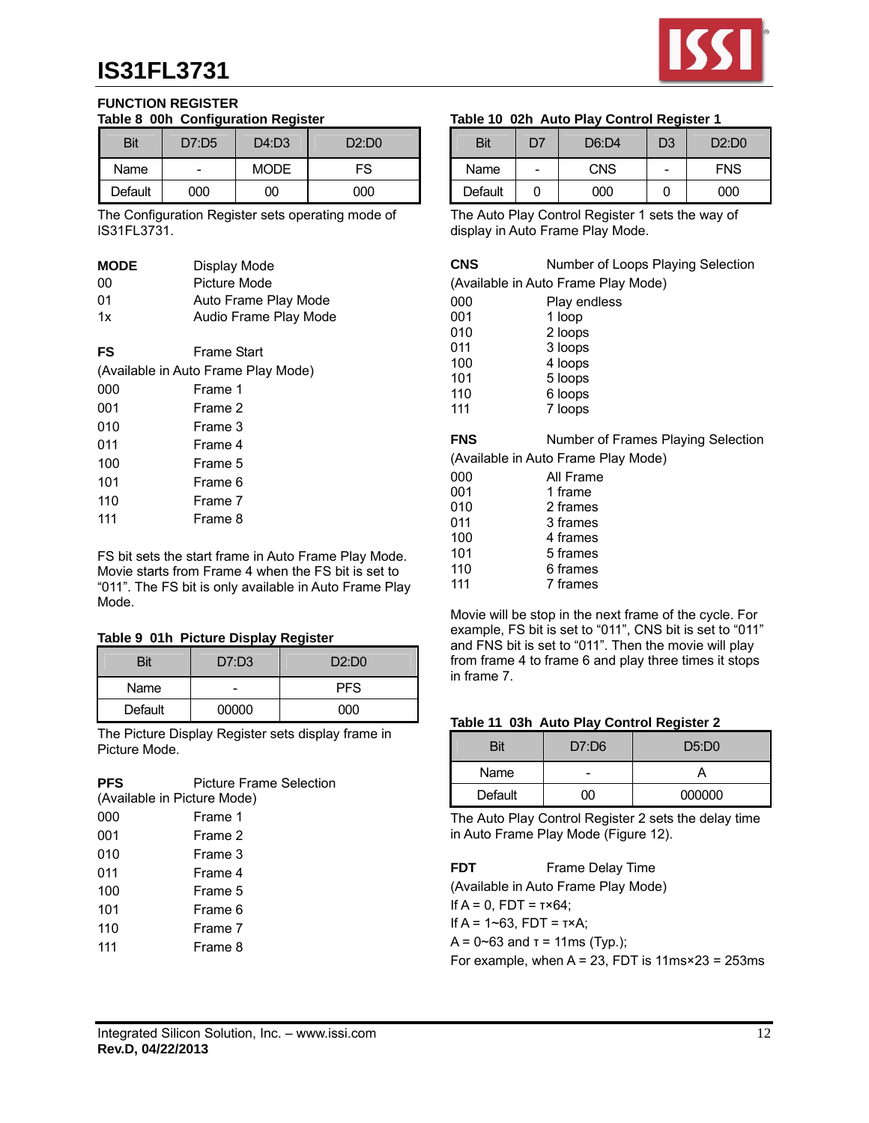

#### **FUNCTION REGISTER Table 8 00h Configuration Register**

| Bit     | D7:D5 | --<br>D4: D3 | D2:DD0 |
|---------|-------|--------------|--------|
| Name    |       | <b>MODE</b>  | FS     |
| Default | 000   | იი           | റററ    |

The Configuration Register sets operating mode of IS31FL3731.

| <b>MODE</b> | Display Mode                        |
|-------------|-------------------------------------|
| 00          | Picture Mode                        |
| 01          | Auto Frame Play Mode                |
| 1x          | Audio Frame Play Mode               |
|             |                                     |
| FS          | Frame Start                         |
|             | (Available in Auto Frame Play Mode) |
| 000         | Frame 1                             |
| 001         | Frame 2                             |
| 010         | Frame 3                             |
| 011         | Frame 4                             |
| 100         | Frame 5                             |
| 101         | Frame 6                             |
| 110         | Frame 7                             |
| 111         | Frame 8                             |
|             |                                     |

FS bit sets the start frame in Auto Frame Play Mode. Movie starts from Frame 4 when the FS bit is set to "011". The FS bit is only available in Auto Frame Play Mode.

#### **Table 9 01h Picture Display Register**

| Bit     | D7: D3 | D2:DD0 |
|---------|--------|--------|
| Name    |        | PFS    |
| Default | 00000  | റററ    |

The Picture Display Register sets display frame in Picture Mode.

| <b>PFS</b> | <b>Picture Frame Selection</b> |  |  |  |  |
|------------|--------------------------------|--|--|--|--|
|            | (Available in Picture Mode)    |  |  |  |  |
| 000        | Frame 1                        |  |  |  |  |
| 001        | Frame 2                        |  |  |  |  |
| 010        | Frame 3                        |  |  |  |  |
| 011        | Frame 4                        |  |  |  |  |
| 100        | Frame 5                        |  |  |  |  |
| 101        | Frame 6                        |  |  |  |  |
| 110        | Frame 7                        |  |  |  |  |
| 111        | Frame 8                        |  |  |  |  |
|            |                                |  |  |  |  |

### **Table 10 02h Auto Play Control Register 1**

| Bit     | 7ה                       | D6: D4     | D3                       | D2:DD0     |
|---------|--------------------------|------------|--------------------------|------------|
| Name    | $\overline{\phantom{0}}$ | <b>CNS</b> | $\overline{\phantom{0}}$ | <b>FNS</b> |
| Default |                          | იიი        | U                        | റററ        |

The Auto Play Control Register 1 sets the way of display in Auto Frame Play Mode.

| CNS | Number of Loops Playing Selection |
|-----|-----------------------------------|
|-----|-----------------------------------|

(Available in Auto Frame Play Mode)

| 000 | Play endless |
|-----|--------------|
| 001 | 1 loop       |
| 010 | 2 loops      |
| 011 | 3 loops      |
| 100 | 4 loops      |
| 101 | 5 loops      |
| 110 | 6 loops      |
| 111 | 7 loops      |

| <b>FNS</b> | Number of Frames Playing Selection  |
|------------|-------------------------------------|
|            | (Available in Auto Frame Play Mode) |

| 000 | All Frame |
|-----|-----------|
| 001 | 1 frame   |
| 010 | 2 frames  |
| 011 | 3 frames  |
| 100 | 4 frames  |
| 101 | 5 frames  |
| 110 | 6 frames  |
| 111 | 7 frames  |
|     |           |

Movie will be stop in the next frame of the cycle. For example, FS bit is set to "011", CNS bit is set to "011" and FNS bit is set to "011". Then the movie will play from frame 4 to frame 6 and play three times it stops in frame 7.

#### **Table 11 03h Auto Play Control Register 2**

| Bit     | D7:DB | D5:DD0 |
|---------|-------|--------|
| Name    |       |        |
| Default | Ю     | 000000 |

The Auto Play Control Register 2 sets the delay time in Auto Frame Play Mode (Figure 12).

| <b>FDT</b> | Frame Delay Time                                             |
|------------|--------------------------------------------------------------|
|            | (Available in Auto Frame Play Mode)                          |
|            | If $A = 0$ . FDT = $T \times 64$ :                           |
|            | If A = $1 - 63$ . FDT = $1 \times A$ :                       |
|            | $A = 0$ ~63 and $\tau = 11$ ms (Typ.);                       |
|            | For example, when $A = 23$ , FDT is $11ms \times 23 = 253ms$ |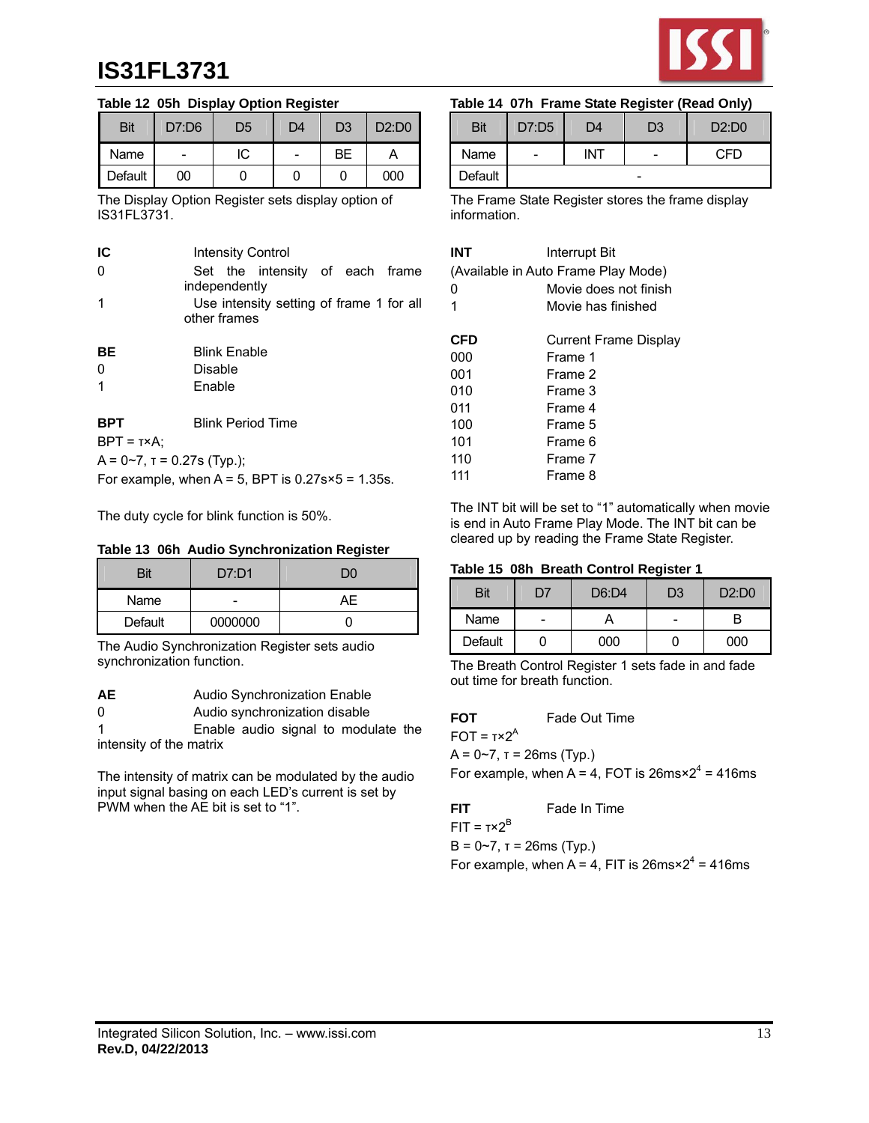

#### **Table 12 05h Display Option Register**

| <b>Bit</b> | D7:D6 | D5 | D4 | D <sub>3</sub> | D2:DD0 |
|------------|-------|----|----|----------------|--------|
| Name       |       | IC |    | BЕ             |        |
| Default    | 00    |    |    |                | 000    |

The Display Option Register sets display option of IS31FL3731.

| IC                                                  |               |                     | <b>Intensity Control</b>                 |  |  |  |
|-----------------------------------------------------|---------------|---------------------|------------------------------------------|--|--|--|
| 0                                                   |               |                     | Set the intensity of each frame          |  |  |  |
|                                                     | independently |                     |                                          |  |  |  |
| 1                                                   |               |                     | Use intensity setting of frame 1 for all |  |  |  |
|                                                     | other frames  |                     |                                          |  |  |  |
| BE                                                  |               | <b>Blink Enable</b> |                                          |  |  |  |
| 0                                                   | Disable       |                     |                                          |  |  |  |
| 1                                                   | Enable        |                     |                                          |  |  |  |
|                                                     |               |                     |                                          |  |  |  |
| <b>BPT</b>                                          |               |                     | <b>Blink Period Time</b>                 |  |  |  |
| $BPT = T \times A$ :                                |               |                     |                                          |  |  |  |
| $A = 0-7$ , $T = 0.27$ s (Typ.);                    |               |                     |                                          |  |  |  |
| For example, when $A = 5$ , BPT is 0.27s×5 = 1.35s. |               |                     |                                          |  |  |  |

The duty cycle for blink function is 50%.

#### **Table 13 06h Audio Synchronization Register**

| Bit            | D7: D1  | DO |
|----------------|---------|----|
| Name           |         | ΑĿ |
| <b>Default</b> | 0000000 |    |

The Audio Synchronization Register sets audio synchronization function.

| AЕ | Audio Synchronization Enable |
|----|------------------------------|
|----|------------------------------|

0 Audio synchronization disable

1 Enable audio signal to modulate the intensity of the matrix

The intensity of matrix can be modulated by the audio input signal basing on each LED's current is set by PWM when the AE bit is set to "1".

### **Table 14 07h Frame State Register (Read Only)**

| Bit     | D7:D5 | D4  | D3 | D2:DD0 |
|---------|-------|-----|----|--------|
| Name    | -     | INT |    | ?FD    |
| Default |       |     | -  |        |

The Frame State Register stores the frame display information.

| INT | Interrupt Bit                       |  |  |
|-----|-------------------------------------|--|--|
|     | (Available in Auto Frame Play Mode) |  |  |
| o   | Movie does not finish               |  |  |
| 1   | Movie has finished                  |  |  |
|     |                                     |  |  |
| CFD | Current Frame Display               |  |  |
| იიი | Frame 1                             |  |  |
| 001 | Frame 2                             |  |  |
| 010 | Frame 3                             |  |  |
| 011 | Frame 4                             |  |  |
| 100 | Frame 5                             |  |  |
| 101 | Frame 6                             |  |  |
| 110 | Frame 7                             |  |  |
| 111 | Frame 8                             |  |  |
|     |                                     |  |  |

The INT bit will be set to "1" automatically when movie is end in Auto Frame Play Mode. The INT bit can be cleared up by reading the Frame State Register.

#### **Table 15 08h Breath Control Register 1**

| Bit     | לח | D6:DA | D3                       | D2:DD0 |
|---------|----|-------|--------------------------|--------|
| Name    | -  |       | $\overline{\phantom{0}}$ |        |
| Default |    | 000   |                          | 000    |

The Breath Control Register 1 sets fade in and fade out time for breath function.

## **FOT** Fade Out Time

 $FOT = T \times 2^A$ 

 $A = 0~7$ ,  $T = 26$ ms (Typ.)

For example, when  $A = 4$ , FOT is  $26 \text{ms} \times 2^4 = 416 \text{ms}$ 

**FIT Fade In Time** λB

$$
FIT = Tx2
$$

 $B = 0-7$ ,  $T = 26$ ms (Typ.)

For example, when A = 4, FIT is  $26 \text{ms} \times 2^4 = 416 \text{ms}$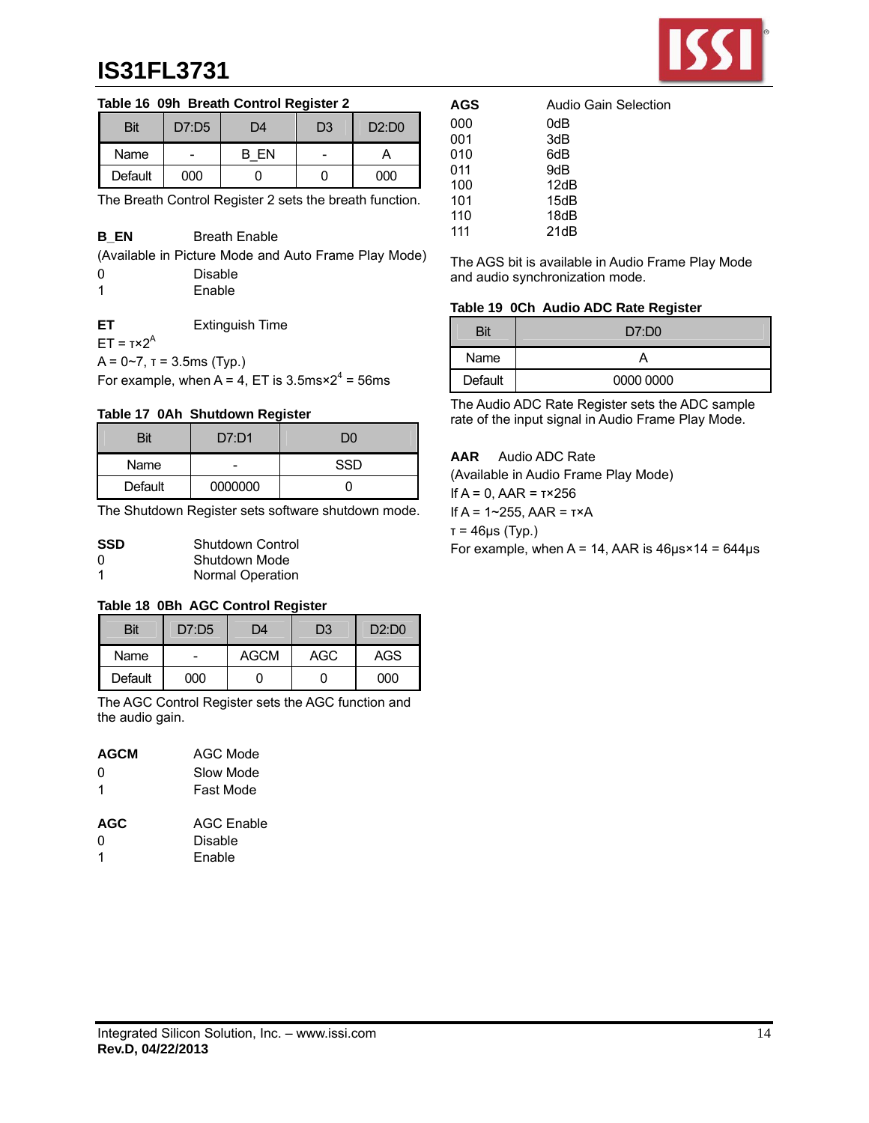

### **Table 16 09h Breath Control Register 2**

| Bit     | D7:DS | D4 | D <sub>3</sub> | D2:DD0 |
|---------|-------|----|----------------|--------|
| Name    | -     | FN |                |        |
| Default | 000   |    |                | 000    |

The Breath Control Register 2 sets the breath function.

### **B EN** Breath Enable

(Available in Picture Mode and Auto Frame Play Mode)

| 0 | Disable |
|---|---------|
| 1 | Enable  |

**ET** Extinguish Time

 $ET = **τ**×2<sup>A</sup>$ 

 $A = 0 - 7$ ,  $T = 3.5$ ms (Typ.)

For example, when  $A = 4$ , ET is 3.5ms $\times 2^4 = 56$ ms

#### **Table 17 0Ah Shutdown Register**

| Bit     | D7: D1  |     |  |
|---------|---------|-----|--|
| Name    | -       | SSD |  |
| Default | 0000000 |     |  |

The Shutdown Register sets software shutdown mode.

| <b>SSD</b> | Shutdown Control        |
|------------|-------------------------|
| 0          | Shutdown Mode           |
| -1         | <b>Normal Operation</b> |

#### **Table 18 0Bh AGC Control Register**

| Bit     | D7:DB | D4          | D <sub>3</sub> | D2:DD0 |
|---------|-------|-------------|----------------|--------|
| Name    |       | <b>AGCM</b> | AGC            | AGS    |
| Default | 000   |             |                | 000    |

The AGC Control Register sets the AGC function and the audio gain.

| <b>AGCM</b> | AGC Mode  |  |  |
|-------------|-----------|--|--|
| 0           | Slow Mode |  |  |
| 1           | Fast Mode |  |  |

| AGC | <b>AGC Enable</b> |
|-----|-------------------|
| n   | Disable           |
| -1  | Enable            |

| AGS | Audio Gain Selection |
|-----|----------------------|
| 000 | 0dB                  |
| 001 | 3dB                  |
| 010 | 6dB                  |
| 011 | 9dB                  |
| 100 | 12dB                 |
| 101 | 15dB                 |
| 110 | 18dB                 |
| 111 | 21dB                 |

The AGS bit is available in Audio Frame Play Mode and audio synchronization mode.

### **Table 19 0Ch Audio ADC Rate Register**

| Bit     | D7:DD0    |
|---------|-----------|
| Name    |           |
| Default | 0000 0000 |

The Audio ADC Rate Register sets the ADC sample rate of the input signal in Audio Frame Play Mode.

### **AAR** Audio ADC Rate

(Available in Audio Frame Play Mode)

If A = 0, AAR = τ×256

If A = 1~255, AAR = τ×A

τ = 46μs (Typ.)

For example, when  $A = 14$ , AAR is  $46\mu s \times 14 = 644\mu s$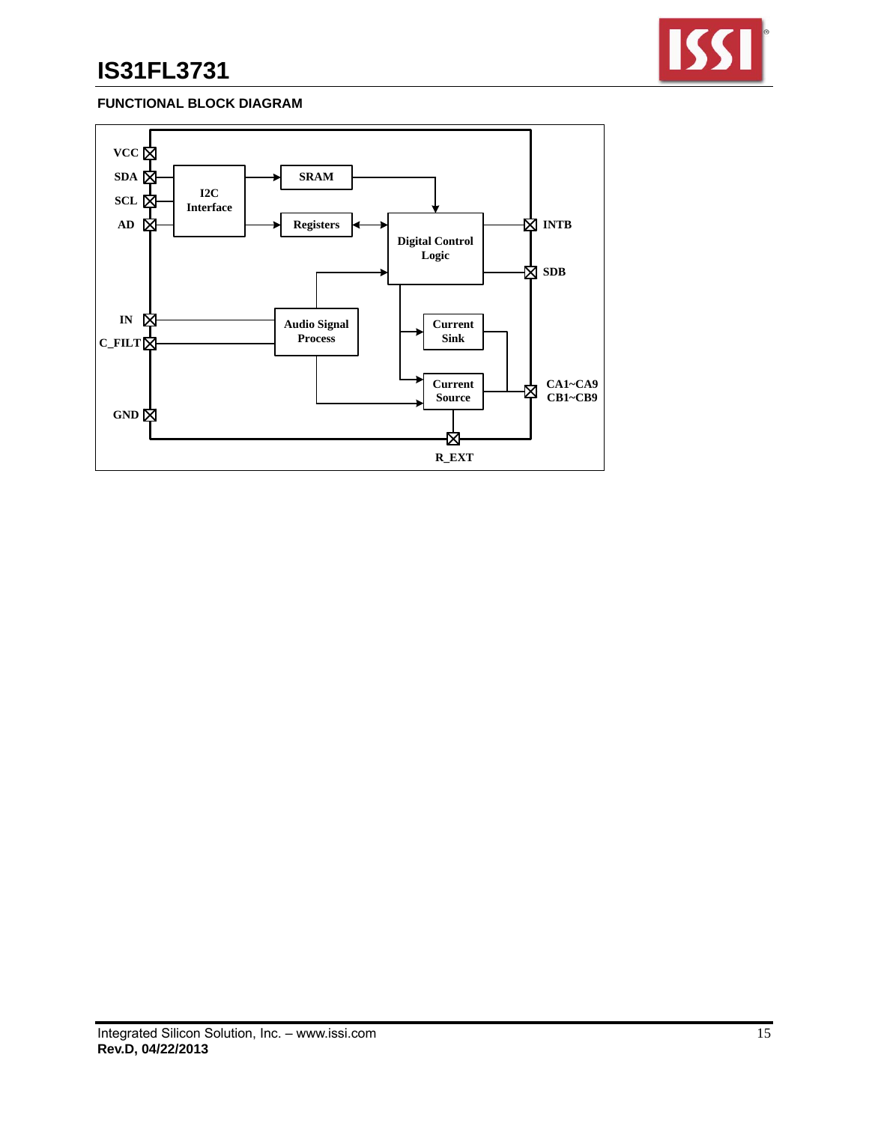

## **FUNCTIONAL BLOCK DIAGRAM**

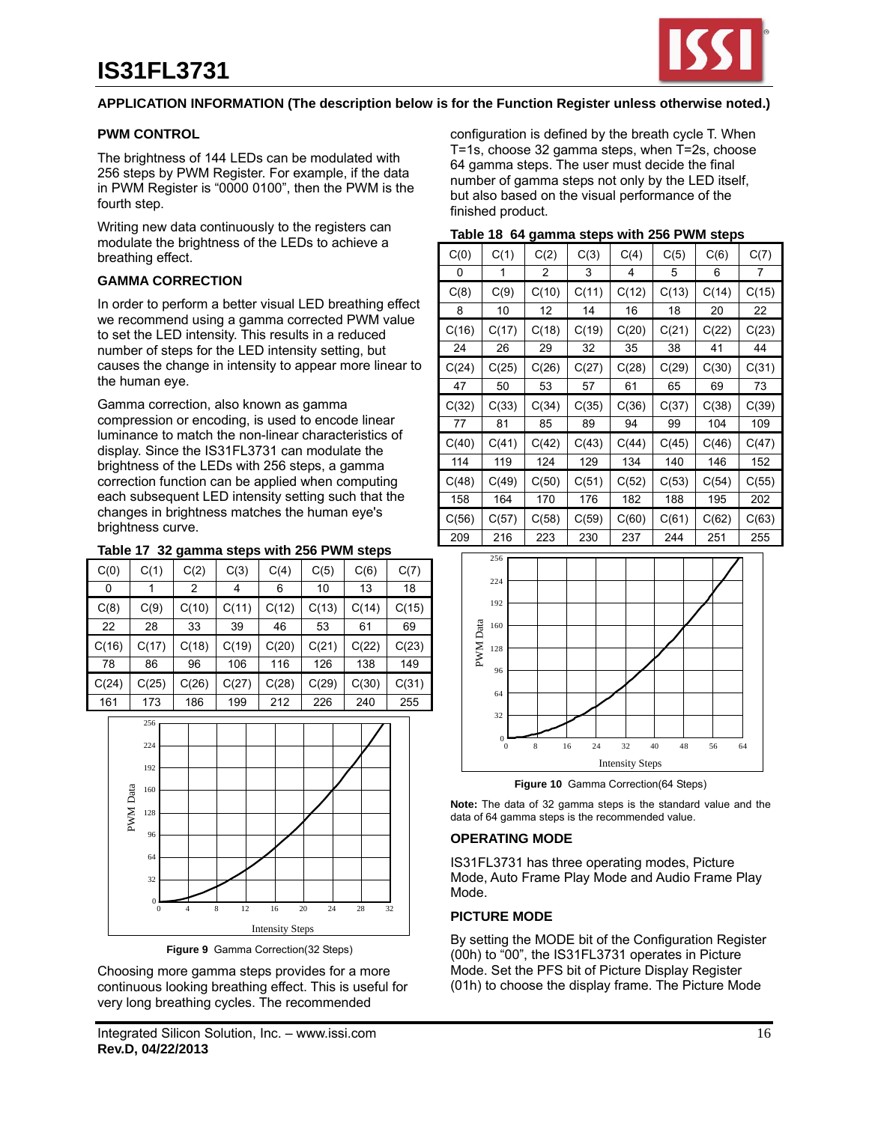

#### **APPLICATION INFORMATION (The description below is for the Function Register unless otherwise noted.)**

#### **PWM CONTROL**

The brightness of 144 LEDs can be modulated with 256 steps by PWM Register. For example, if the data in PWM Register is "0000 0100", then the PWM is the fourth step.

Writing new data continuously to the registers can modulate the brightness of the LEDs to achieve a breathing effect.

#### **GAMMA CORRECTION**

In order to perform a better visual LED breathing effect we recommend using a gamma corrected PWM value to set the LED intensity. This results in a reduced number of steps for the LED intensity setting, but causes the change in intensity to appear more linear to the human eye.

Gamma correction, also known as gamma compression or encoding, is used to encode linear luminance to match the non-linear characteristics of display. Since the IS31FL3731 can modulate the brightness of the LEDs with 256 steps, a gamma correction function can be applied when computing each subsequent LED intensity setting such that the changes in brightness matches the human eye's brightness curve.

#### **Table 17 32 gamma steps with 256 PWM steps**

| C(0)  | C(1)  | C(2)  | C(3)  | C(4)  | C(5)  | C(6)  | C(7)  |
|-------|-------|-------|-------|-------|-------|-------|-------|
| 0     |       | 2     | 4     | 6     | 10    | 13    | 18    |
| C(8)  | C(9)  | C(10) | C(11) | C(12) | C(13) | C(14) | C(15) |
| 22    | 28    | 33    | 39    | 46    | 53    | 61    | 69    |
| C(16) | C(17) | C(18) | C(19) | C(20) | C(21) | C(22) | C(23) |
|       |       |       |       |       |       |       |       |
| 78    | 86    | 96    | 106   | 116   | 126   | 138   | 149   |
| C(24) | C(25) | C(26) | C(27) | C(28) | C(29) | C(30) | C(31) |



**Figure 9** Gamma Correction(32 Steps)

Choosing more gamma steps provides for a more continuous looking breathing effect. This is useful for very long breathing cycles. The recommended

configuration is defined by the breath cycle T. When T=1s, choose 32 gamma steps, when T=2s, choose 64 gamma steps. The user must decide the final number of gamma steps not only by the LED itself, but also based on the visual performance of the finished product.

| Table 18 64 gamma steps with 256 PWM steps |  |  |
|--------------------------------------------|--|--|
|--------------------------------------------|--|--|

| C(0)  | C(1)  | C(2)  | C(3)  | C(4)  | C(5)  | C(6)  | C(7)  |
|-------|-------|-------|-------|-------|-------|-------|-------|
| 0     | 1     | 2     | 3     | 4     | 5     | 6     | 7     |
| C(8)  | C(9)  | C(10) | C(11) | C(12) | C(13) | C(14) | C(15) |
| 8     | 10    | 12    | 14    | 16    | 18    | 20    | 22    |
| C(16) | C(17) | C(18) | C(19) | C(20) | C(21) | C(22) | C(23) |
| 24    | 26    | 29    | 32    | 35    | 38    | 41    | 44    |
| C(24) | C(25) | C(26) | C(27) | C(28) | C(29) | C(30) | C(31) |
| 47    | 50    | 53    | 57    | 61    | 65    | 69    | 73    |
| C(32) | C(33) | C(34) | C(35) | C(36) | C(37) | C(38) | C(39) |
| 77    | 81    | 85    | 89    | 94    | 99    | 104   | 109   |
| C(40) | C(41) | C(42) | C(43) | C(44) | C(45) | C(46) | C(47) |
| 114   | 119   | 124   | 129   | 134   | 140   | 146   | 152   |
| C(48) | C(49) | C(50) | C(51) | C(52) | C(53) | C(54) | C(55) |
| 158   | 164   | 170   | 176   | 182   | 188   | 195   | 202   |
| C(56) | C(57) | C(58) | C(59) | C(60) | C(61) | C(62) | C(63) |
| 209   | 216   | 223   | 230   | 237   | 244   | 251   | 255   |



**Figure 10** Gamma Correction(64 Steps)

**Note:** The data of 32 gamma steps is the standard value and the data of 64 gamma steps is the recommended value.

#### **OPERATING MODE**

IS31FL3731 has three operating modes, Picture Mode, Auto Frame Play Mode and Audio Frame Play Mode.

#### **PICTURE MODE**

By setting the MODE bit of the Configuration Register (00h) to "00", the IS31FL3731 operates in Picture Mode. Set the PFS bit of Picture Display Register (01h) to choose the display frame. The Picture Mode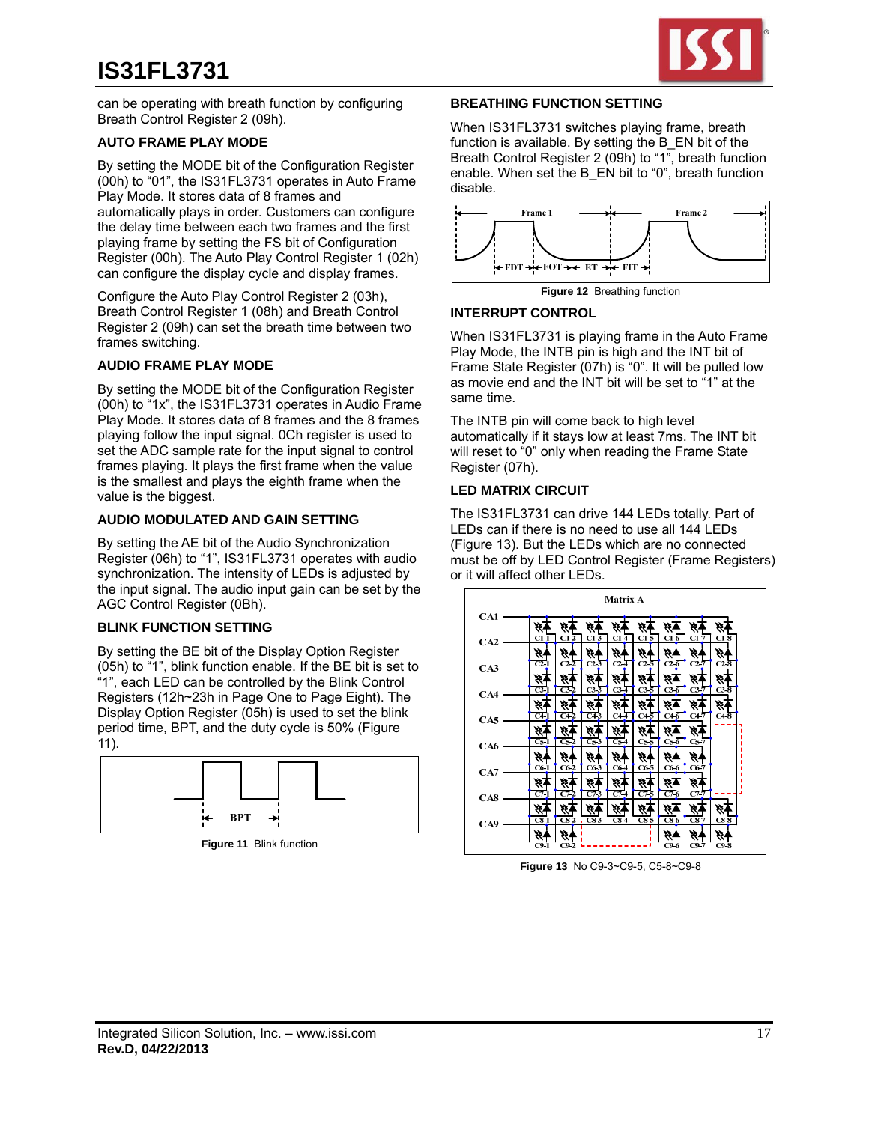

can be operating with breath function by configuring Breath Control Register 2 (09h).

### **AUTO FRAME PLAY MODE**

By setting the MODE bit of the Configuration Register (00h) to "01", the IS31FL3731 operates in Auto Frame Play Mode. It stores data of 8 frames and automatically plays in order. Customers can configure the delay time between each two frames and the first playing frame by setting the FS bit of Configuration Register (00h). The Auto Play Control Register 1 (02h) can configure the display cycle and display frames.

Configure the Auto Play Control Register 2 (03h), Breath Control Register 1 (08h) and Breath Control Register 2 (09h) can set the breath time between two frames switching.

### **AUDIO FRAME PLAY MODE**

By setting the MODE bit of the Configuration Register (00h) to "1x", the IS31FL3731 operates in Audio Frame Play Mode. It stores data of 8 frames and the 8 frames playing follow the input signal. 0Ch register is used to set the ADC sample rate for the input signal to control frames playing. It plays the first frame when the value is the smallest and plays the eighth frame when the value is the biggest.

### **AUDIO MODULATED AND GAIN SETTING**

By setting the AE bit of the Audio Synchronization Register (06h) to "1", IS31FL3731 operates with audio synchronization. The intensity of LEDs is adjusted by the input signal. The audio input gain can be set by the AGC Control Register (0Bh).

## **BLINK FUNCTION SETTING**

By setting the BE bit of the Display Option Register (05h) to "1", blink function enable. If the BE bit is set to "1", each LED can be controlled by the Blink Control Registers (12h~23h in Page One to Page Eight). The Display Option Register (05h) is used to set the blink period time, BPT, and the duty cycle is 50% (Figure 11).



**Figure 11** Blink function

#### **BREATHING FUNCTION SETTING**

When IS31FL3731 switches playing frame, breath function is available. By setting the B\_EN bit of the Breath Control Register 2 (09h) to "1", breath function enable. When set the B EN bit to "0", breath function disable.



**Figure 12** Breathing function

### **INTERRUPT CONTROL**

When IS31FL3731 is playing frame in the Auto Frame Play Mode, the INTB pin is high and the INT bit of Frame State Register (07h) is "0". It will be pulled low as movie end and the INT bit will be set to "1" at the same time.

The INTB pin will come back to high level automatically if it stays low at least 7ms. The INT bit will reset to "0" only when reading the Frame State Register (07h).

## **LED MATRIX CIRCUIT**

The IS31FL3731 can drive 144 LEDs totally. Part of LEDs can if there is no need to use all 144 LEDs (Figure 13). But the LEDs which are no connected must be off by LED Control Register (Frame Registers) or it will affect other LEDs.

|     | <b>Matrix A</b>                                                                                                                                                                             |
|-----|---------------------------------------------------------------------------------------------------------------------------------------------------------------------------------------------|
| CA1 |                                                                                                                                                                                             |
| CA2 | $C1-3$<br>C1.5<br>$C1-1$<br>$C1-2$<br>$C1-7$<br>$C1-8$<br>$C1-$<br>$C1-6$                                                                                                                   |
| CA3 | 9)<br>Ø,<br>Ø.<br>Ø,<br>H,<br>Ø,<br>Ø.<br>$C2-1$<br>$C2-3$<br>$C2-5$<br>$C2-2$<br>$C2-4$<br>$C2-7$<br>$C2-8$<br>$C2-6$                                                                      |
|     | Ý,<br>9,<br>Y)<br>9,<br>Ą,                                                                                                                                                                  |
| CA4 | $C3-3$<br>$C3-4$<br>$C3-5$<br>$C3-7$<br>$C3-\overline{8}$<br>$C3-1$<br>$C3-6$<br>$C3-2$<br>Ø,<br>¥.<br>H.<br>Ý,<br>¥,                                                                       |
| CA5 | $\overline{C41}$<br>$\overline{C43}$<br>$C4\overline{5}$<br>$C4-2$<br>$C4\overline{4}$<br>C47<br>$C4-8$<br>$C4-6$                                                                           |
| CA6 | Y,<br>H,<br>Þ,<br>H.<br>Þ.<br>Ħ.<br>H.<br>$\overline{CS}$<br>$C5-2$<br>$C5-3$<br>$C5-5$<br>$C5-6$<br>$C5-4$<br>$C5-7$                                                                       |
|     | H,<br>9,<br>9)                                                                                                                                                                              |
| CA7 | $\overline{\text{C6-1}}$<br>$C6-6$<br>$C6-7$<br>$C6-2$<br>$C6-3$<br>$C6-5$<br>$C6-4$<br>9,<br>4<br>9,<br>4,<br>Ø.                                                                           |
| CA8 | $\overline{C7}1$<br>$\overline{C7-3}$<br>$C7-6$<br>$C7-7$<br>$C7-2$<br>$C7-4$<br>C/5                                                                                                        |
|     | W.<br>9)<br>H,<br>93<br>Ø.<br>æ,<br>$\overline{\text{c}}$ 81<br>$\overline{C8}$ 7<br>$\overline{C8-2}$<br>- - 33-6<br>$\overline{\text{c}}\text{s}$ -6<br>$C8-\overline{8}$<br>$-683 - 684$ |
| CA9 |                                                                                                                                                                                             |
|     | $C9-1$<br>$C9-6$<br>C9-2<br>C9-7<br>C9-8                                                                                                                                                    |

**Figure 13** No C9-3~C9-5, C5-8~C9-8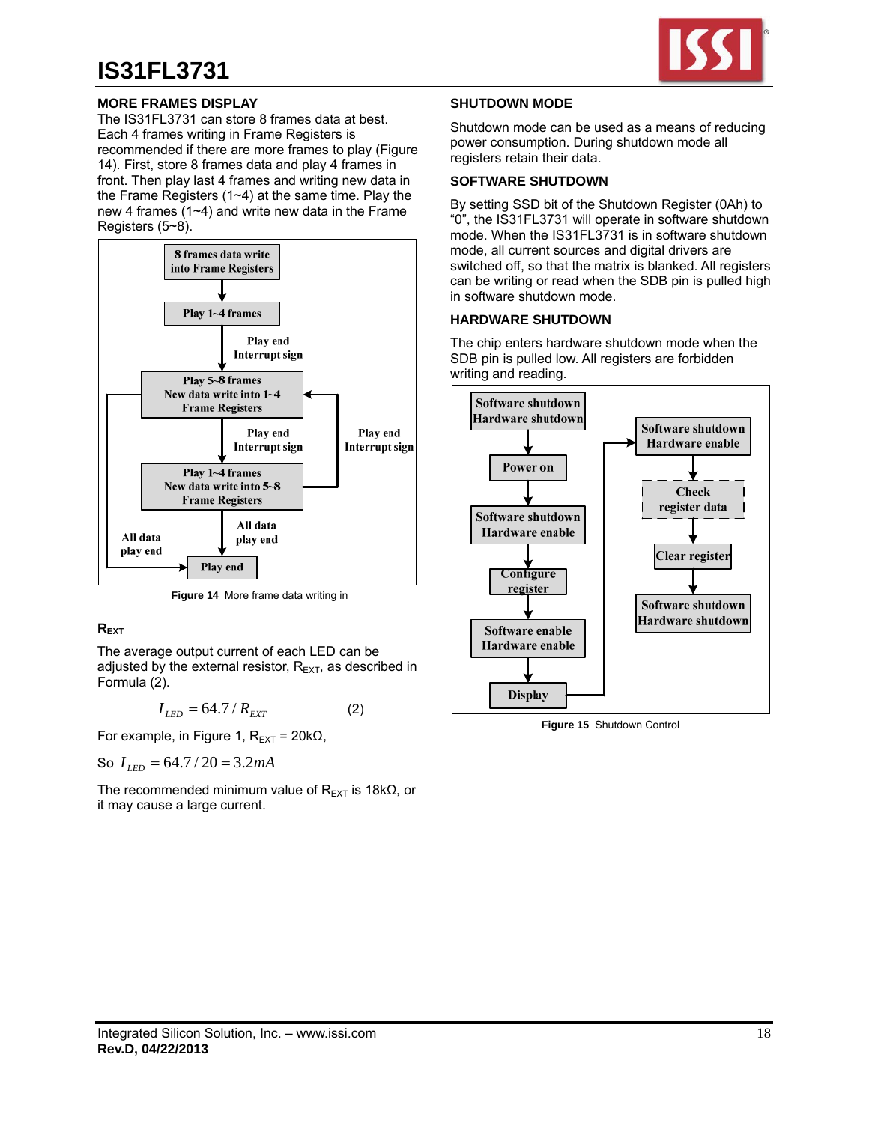

## **MORE FRAMES DISPLAY**

The IS31FL3731 can store 8 frames data at best. Each 4 frames writing in Frame Registers is recommended if there are more frames to play (Figure 14). First, store 8 frames data and play 4 frames in front. Then play last 4 frames and writing new data in the Frame Registers (1~4) at the same time. Play the new 4 frames (1~4) and write new data in the Frame Registers (5~8).



**Figure 14** More frame data writing in

## **REXT**

The average output current of each LED can be adjusted by the external resistor,  $R_{\text{EXT}}$ , as described in Formula (2).

$$
I_{LED} = 64.7 / R_{EXT} \tag{2}
$$

For example, in Figure 1,  $R_{\text{EXT}}$  = 20k $\Omega$ ,

So  $I_{LED} = 64.7 / 20 = 3.2 mA$ 

The recommended minimum value of  $R_{FXT}$  is 18k $\Omega$ , or it may cause a large current.

### **SHUTDOWN MODE**

Shutdown mode can be used as a means of reducing power consumption. During shutdown mode all registers retain their data.

### **SOFTWARE SHUTDOWN**

By setting SSD bit of the Shutdown Register (0Ah) to "0", the IS31FL3731 will operate in software shutdown mode. When the IS31FL3731 is in software shutdown mode, all current sources and digital drivers are switched off, so that the matrix is blanked. All registers can be writing or read when the SDB pin is pulled high in software shutdown mode.

## **HARDWARE SHUTDOWN**

The chip enters hardware shutdown mode when the SDB pin is pulled low. All registers are forbidden writing and reading.



**Figure 15** Shutdown Control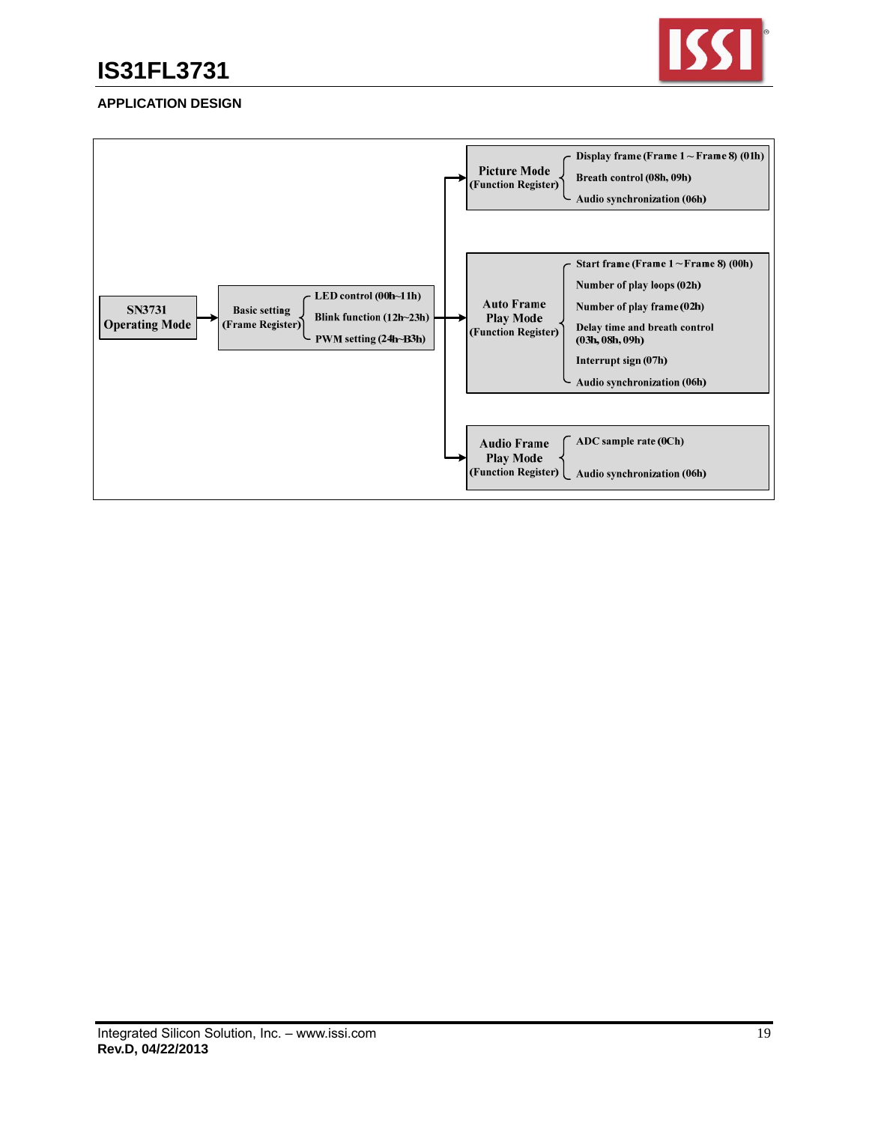

### **APPLICATION DESIGN**

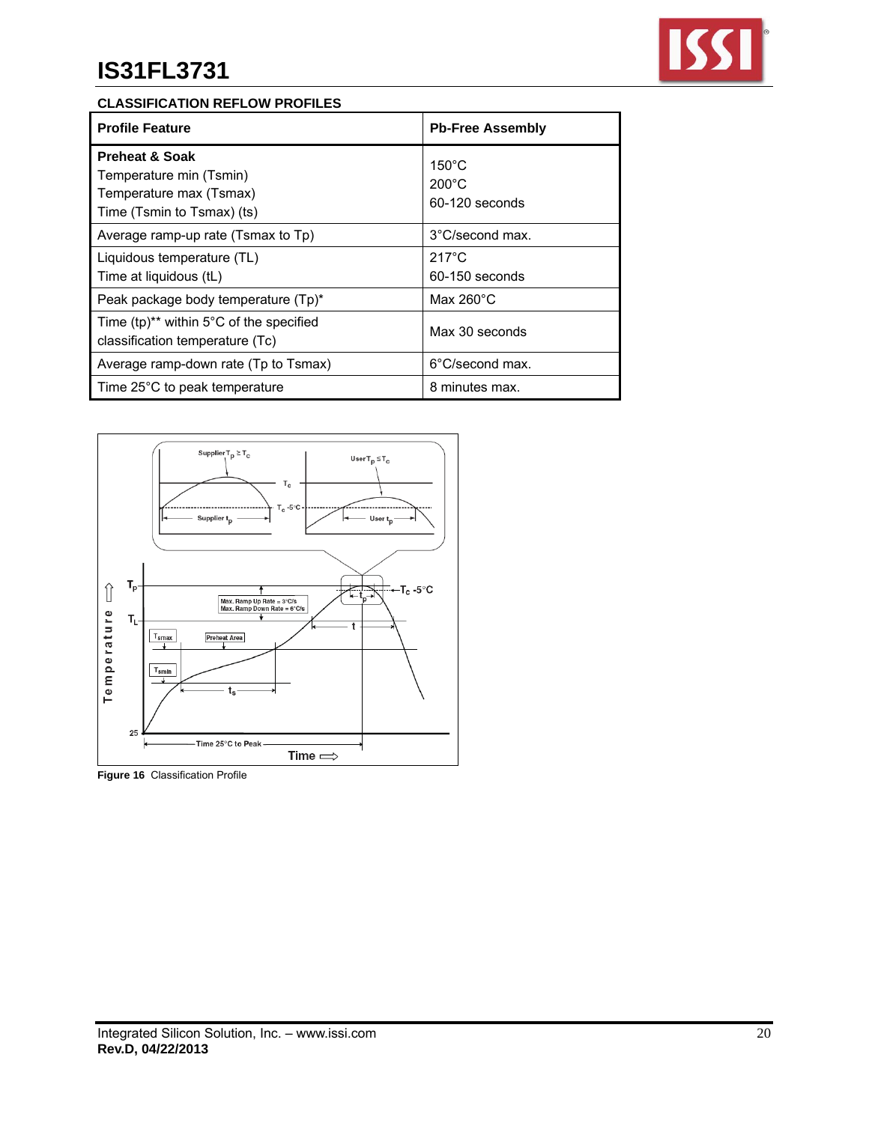

## **CLASSIFICATION REFLOW PROFILES**

| <b>Profile Feature</b>                                                                                        | <b>Pb-Free Assembly</b>                              |
|---------------------------------------------------------------------------------------------------------------|------------------------------------------------------|
| <b>Preheat &amp; Soak</b><br>Temperature min (Tsmin)<br>Temperature max (Tsmax)<br>Time (Tsmin to Tsmax) (ts) | $150^{\circ}$ C<br>$200^{\circ}$ C<br>60-120 seconds |
| Average ramp-up rate (Tsmax to Tp)                                                                            | 3°C/second max.                                      |
| Liquidous temperature (TL)<br>Time at liquidous (tL)                                                          | $217^{\circ}$ C<br>60-150 seconds                    |
| Peak package body temperature (Tp)*                                                                           | Max $260^{\circ}$ C                                  |
| Time $(tp)^{**}$ within 5°C of the specified<br>classification temperature (Tc)                               | Max 30 seconds                                       |
| Average ramp-down rate (Tp to Tsmax)                                                                          | 6°C/second max.                                      |
| Time 25°C to peak temperature                                                                                 | 8 minutes max.                                       |



**Figure 16** Classification Profile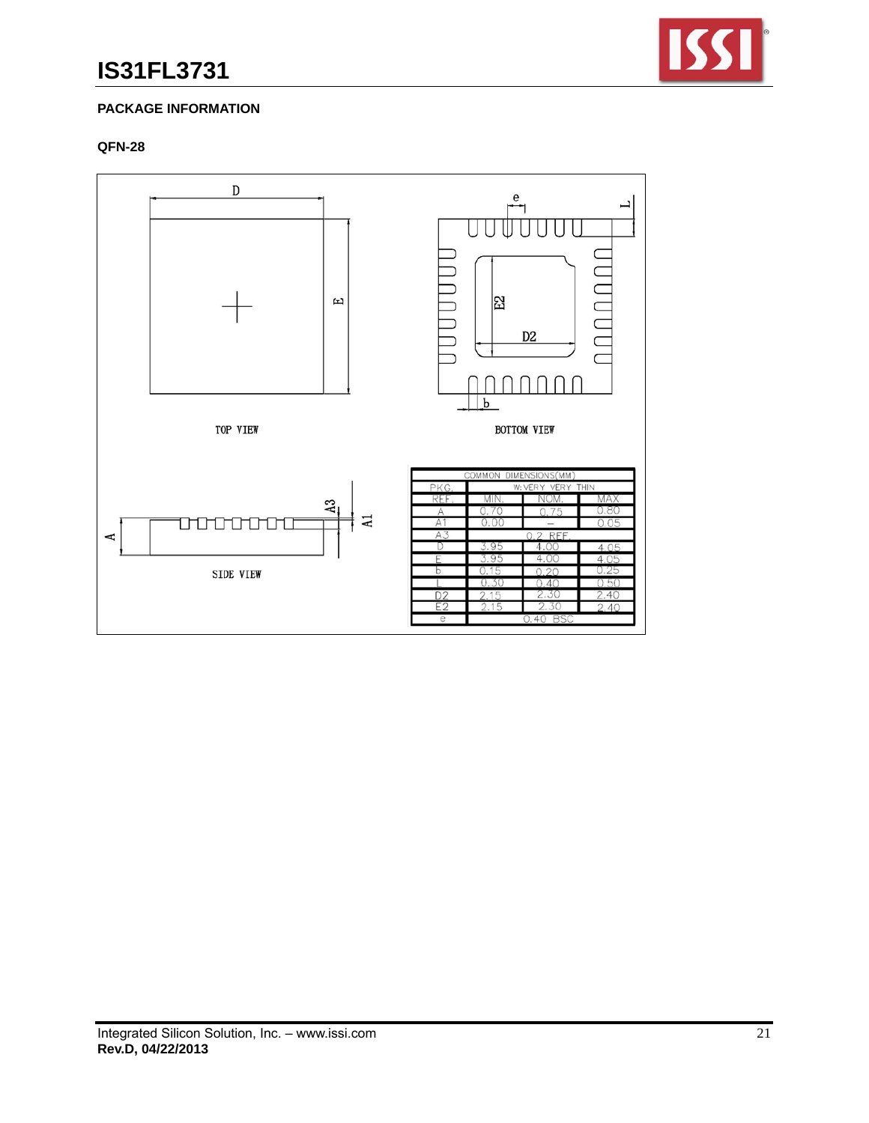

## **PACKAGE INFORMATION**

### **QFN-28**